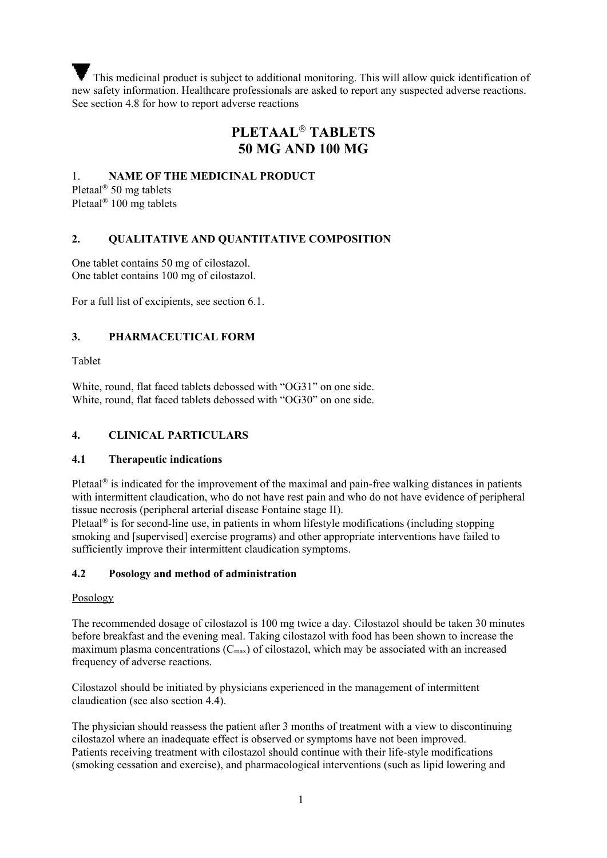This medicinal product is subject to additional monitoring. This will allow quick identification of new safety information. Healthcare professionals are asked to report any suspected adverse reactions. See section 4.8 for how to report adverse reactions

# **PLETAAL TABLETS 50 MG AND 100 MG**

#### 1. **NAME OF THE MEDICINAL PRODUCT**

Pletaal<sup>®</sup> 50 mg tablets Pletaal<sup>®</sup> 100 mg tablets

#### **2. QUALITATIVE AND QUANTITATIVE COMPOSITION**

One tablet contains 50 mg of cilostazol. One tablet contains 100 mg of cilostazol.

For a full list of excipients, see section 6.1.

#### **3. PHARMACEUTICAL FORM**

Tablet

White, round, flat faced tablets debossed with "OG31" on one side. White, round, flat faced tablets debossed with "OG30" on one side.

#### **4. CLINICAL PARTICULARS**

#### **4.1 Therapeutic indications**

Pletaal<sup> $\circ$ </sup> is indicated for the improvement of the maximal and pain-free walking distances in patients with intermittent claudication, who do not have rest pain and who do not have evidence of peripheral tissue necrosis (peripheral arterial disease Fontaine stage II).

Pletaal<sup> $\circ$ </sup> is for second-line use, in patients in whom lifestyle modifications (including stopping smoking and [supervised] exercise programs) and other appropriate interventions have failed to sufficiently improve their intermittent claudication symptoms.

#### **4.2 Posology and method of administration**

#### Posology

The recommended dosage of cilostazol is 100 mg twice a day. Cilostazol should be taken 30 minutes before breakfast and the evening meal. Taking cilostazol with food has been shown to increase the maximum plasma concentrations  $(C_{\text{max}})$  of cilostazol, which may be associated with an increased frequency of adverse reactions.

Cilostazol should be initiated by physicians experienced in the management of intermittent claudication (see also section 4.4).

The physician should reassess the patient after 3 months of treatment with a view to discontinuing cilostazol where an inadequate effect is observed or symptoms have not been improved. Patients receiving treatment with cilostazol should continue with their life-style modifications (smoking cessation and exercise), and pharmacological interventions (such as lipid lowering and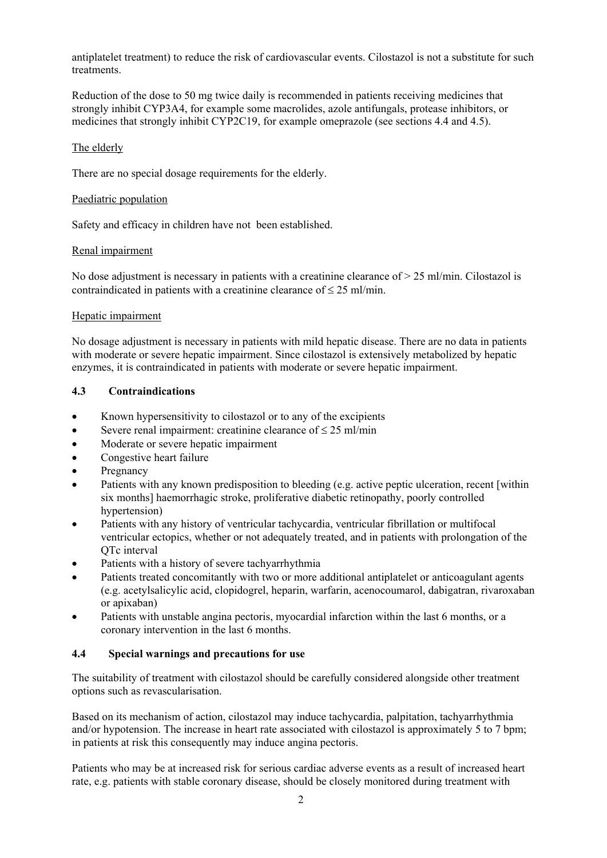antiplatelet treatment) to reduce the risk of cardiovascular events. Cilostazol is not a substitute for such treatments.

Reduction of the dose to 50 mg twice daily is recommended in patients receiving medicines that strongly inhibit CYP3A4, for example some macrolides, azole antifungals, protease inhibitors, or medicines that strongly inhibit CYP2C19, for example omeprazole (see sections 4.4 and 4.5).

#### The elderly

There are no special dosage requirements for the elderly.

#### Paediatric population

Safety and efficacy in children have not been established.

#### Renal impairment

No dose adjustment is necessary in patients with a creatinine clearance of  $> 25$  ml/min. Cilostazol is contraindicated in patients with a creatinine clearance of  $\leq 25$  ml/min.

#### Hepatic impairment

No dosage adjustment is necessary in patients with mild hepatic disease. There are no data in patients with moderate or severe hepatic impairment. Since cilostazol is extensively metabolized by hepatic enzymes, it is contraindicated in patients with moderate or severe hepatic impairment.

#### **4.3 Contraindications**

- Known hypersensitivity to cilostazol or to any of the excipients
- Severe renal impairment: creatinine clearance of  $\leq 25$  ml/min
- Moderate or severe hepatic impairment
- Congestive heart failure
- Pregnancy
- Patients with any known predisposition to bleeding (e.g. active peptic ulceration, recent [within six months] haemorrhagic stroke, proliferative diabetic retinopathy, poorly controlled hypertension)
- Patients with any history of ventricular tachycardia, ventricular fibrillation or multifocal ventricular ectopics, whether or not adequately treated, and in patients with prolongation of the QTc interval
- Patients with a history of severe tachyarrhythmia
- Patients treated concomitantly with two or more additional antiplatelet or anticoagulant agents (e.g. acetylsalicylic acid, clopidogrel, heparin, warfarin, acenocoumarol, dabigatran, rivaroxaban or apixaban)
- Patients with unstable angina pectoris, myocardial infarction within the last 6 months, or a coronary intervention in the last 6 months.

#### **4.4 Special warnings and precautions for use**

The suitability of treatment with cilostazol should be carefully considered alongside other treatment options such as revascularisation.

Based on its mechanism of action, cilostazol may induce tachycardia, palpitation, tachyarrhythmia and/or hypotension. The increase in heart rate associated with cilostazol is approximately 5 to 7 bpm; in patients at risk this consequently may induce angina pectoris.

Patients who may be at increased risk for serious cardiac adverse events as a result of increased heart rate, e.g. patients with stable coronary disease, should be closely monitored during treatment with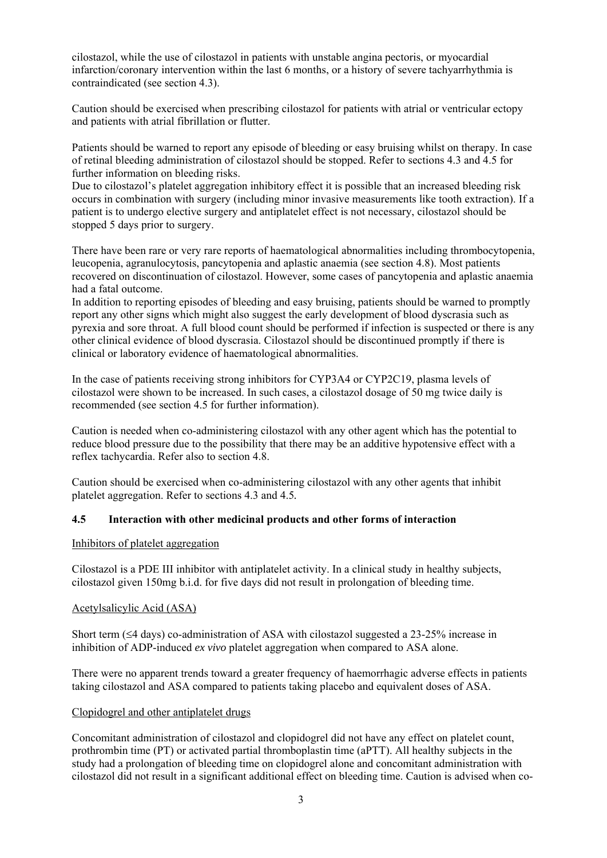cilostazol, while the use of cilostazol in patients with unstable angina pectoris, or myocardial infarction/coronary intervention within the last 6 months, or a history of severe tachyarrhythmia is contraindicated (see section 4.3).

Caution should be exercised when prescribing cilostazol for patients with atrial or ventricular ectopy and patients with atrial fibrillation or flutter.

Patients should be warned to report any episode of bleeding or easy bruising whilst on therapy. In case of retinal bleeding administration of cilostazol should be stopped. Refer to sections 4.3 and 4.5 for further information on bleeding risks.

Due to cilostazol's platelet aggregation inhibitory effect it is possible that an increased bleeding risk occurs in combination with surgery (including minor invasive measurements like tooth extraction). If a patient is to undergo elective surgery and antiplatelet effect is not necessary, cilostazol should be stopped 5 days prior to surgery.

There have been rare or very rare reports of haematological abnormalities including thrombocytopenia, leucopenia, agranulocytosis, pancytopenia and aplastic anaemia (see section 4.8). Most patients recovered on discontinuation of cilostazol. However, some cases of pancytopenia and aplastic anaemia had a fatal outcome.

In addition to reporting episodes of bleeding and easy bruising, patients should be warned to promptly report any other signs which might also suggest the early development of blood dyscrasia such as pyrexia and sore throat. A full blood count should be performed if infection is suspected or there is any other clinical evidence of blood dyscrasia. Cilostazol should be discontinued promptly if there is clinical or laboratory evidence of haematological abnormalities.

In the case of patients receiving strong inhibitors for CYP3A4 or CYP2C19, plasma levels of cilostazol were shown to be increased. In such cases, a cilostazol dosage of 50 mg twice daily is recommended (see section 4.5 for further information).

Caution is needed when co-administering cilostazol with any other agent which has the potential to reduce blood pressure due to the possibility that there may be an additive hypotensive effect with a reflex tachycardia. Refer also to section 4.8.

Caution should be exercised when co-administering cilostazol with any other agents that inhibit platelet aggregation. Refer to sections 4.3 and 4.5*.*

#### **4.5 Interaction with other medicinal products and other forms of interaction**

Inhibitors of platelet aggregation

Cilostazol is a PDE III inhibitor with antiplatelet activity. In a clinical study in healthy subjects, cilostazol given 150mg b.i.d. for five days did not result in prolongation of bleeding time.

#### Acetylsalicylic Acid (ASA)

Short term  $(4$  days) co-administration of ASA with cilostazol suggested a 23-25% increase in inhibition of ADP-induced *ex vivo* platelet aggregation when compared to ASA alone.

There were no apparent trends toward a greater frequency of haemorrhagic adverse effects in patients taking cilostazol and ASA compared to patients taking placebo and equivalent doses of ASA.

#### Clopidogrel and other antiplatelet drugs

Concomitant administration of cilostazol and clopidogrel did not have any effect on platelet count, prothrombin time (PT) or activated partial thromboplastin time (aPTT). All healthy subjects in the study had a prolongation of bleeding time on clopidogrel alone and concomitant administration with cilostazol did not result in a significant additional effect on bleeding time. Caution is advised when co-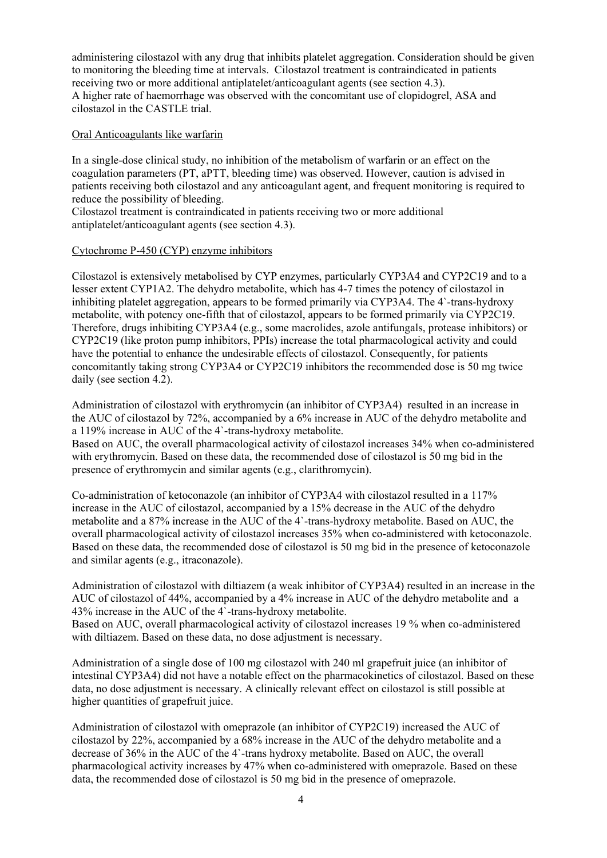administering cilostazol with any drug that inhibits platelet aggregation. Consideration should be given to monitoring the bleeding time at intervals. Cilostazol treatment is contraindicated in patients receiving two or more additional antiplatelet/anticoagulant agents (see section 4.3). A higher rate of haemorrhage was observed with the concomitant use of clopidogrel, ASA and cilostazol in the CASTLE trial.

#### Oral Anticoagulants like warfarin

In a single-dose clinical study, no inhibition of the metabolism of warfarin or an effect on the coagulation parameters (PT, aPTT, bleeding time) was observed. However, caution is advised in patients receiving both cilostazol and any anticoagulant agent, and frequent monitoring is required to reduce the possibility of bleeding.

Cilostazol treatment is contraindicated in patients receiving two or more additional antiplatelet/anticoagulant agents (see section 4.3).

#### Cytochrome P-450 (CYP) enzyme inhibitors

Cilostazol is extensively metabolised by CYP enzymes, particularly CYP3A4 and CYP2C19 and to a lesser extent CYP1A2. The dehydro metabolite, which has 4-7 times the potency of cilostazol in inhibiting platelet aggregation, appears to be formed primarily via CYP3A4. The 4`-trans-hydroxy metabolite, with potency one-fifth that of cilostazol, appears to be formed primarily via CYP2C19. Therefore, drugs inhibiting CYP3A4 (e.g., some macrolides, azole antifungals, protease inhibitors) or CYP2C19 (like proton pump inhibitors, PPIs) increase the total pharmacological activity and could have the potential to enhance the undesirable effects of cilostazol. Consequently, for patients concomitantly taking strong CYP3A4 or CYP2C19 inhibitors the recommended dose is 50 mg twice daily (see section 4.2).

Administration of cilostazol with erythromycin (an inhibitor of CYP3A4) resulted in an increase in the AUC of cilostazol by 72%, accompanied by a 6% increase in AUC of the dehydro metabolite and a 119% increase in AUC of the 4`-trans-hydroxy metabolite.

Based on AUC, the overall pharmacological activity of cilostazol increases 34% when co-administered with erythromycin. Based on these data, the recommended dose of cilostazol is 50 mg bid in the presence of erythromycin and similar agents (e.g., clarithromycin).

Co-administration of ketoconazole (an inhibitor of CYP3A4 with cilostazol resulted in a 117% increase in the AUC of cilostazol, accompanied by a 15% decrease in the AUC of the dehydro metabolite and a 87% increase in the AUC of the 4`-trans-hydroxy metabolite. Based on AUC, the overall pharmacological activity of cilostazol increases 35% when co-administered with ketoconazole. Based on these data, the recommended dose of cilostazol is 50 mg bid in the presence of ketoconazole and similar agents (e.g., itraconazole).

Administration of cilostazol with diltiazem (a weak inhibitor of CYP3A4) resulted in an increase in the AUC of cilostazol of 44%, accompanied by a 4% increase in AUC of the dehydro metabolite and a 43% increase in the AUC of the 4`-trans-hydroxy metabolite.

Based on AUC, overall pharmacological activity of cilostazol increases 19 % when co-administered with diltiazem. Based on these data, no dose adjustment is necessary.

Administration of a single dose of 100 mg cilostazol with 240 ml grapefruit juice (an inhibitor of intestinal CYP3A4) did not have a notable effect on the pharmacokinetics of cilostazol. Based on these data, no dose adjustment is necessary. A clinically relevant effect on cilostazol is still possible at higher quantities of grapefruit juice.

Administration of cilostazol with omeprazole (an inhibitor of CYP2C19) increased the AUC of cilostazol by 22%, accompanied by a 68% increase in the AUC of the dehydro metabolite and a decrease of 36% in the AUC of the 4`-trans hydroxy metabolite. Based on AUC, the overall pharmacological activity increases by 47% when co-administered with omeprazole. Based on these data, the recommended dose of cilostazol is 50 mg bid in the presence of omeprazole.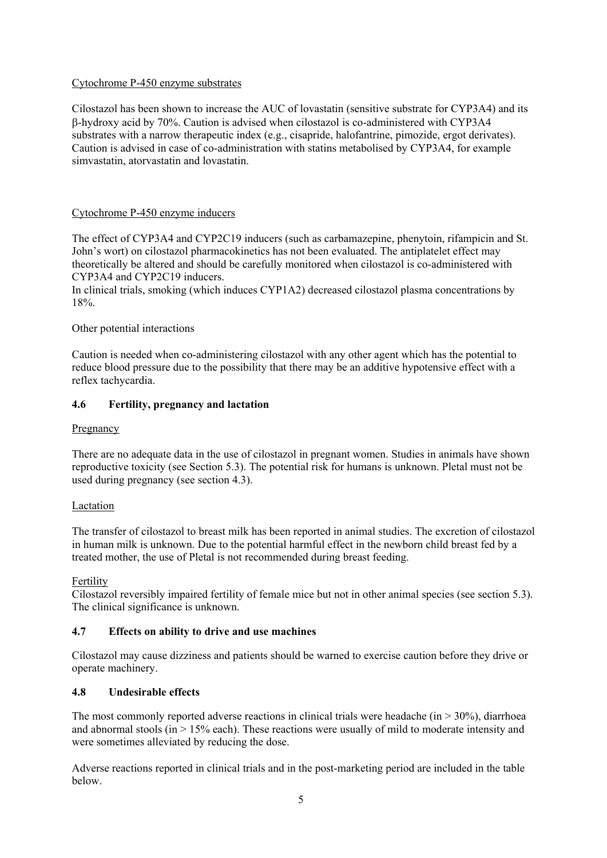#### Cytochrome P-450 enzyme substrates

Cilostazol has been shown to increase the AUC of lovastatin (sensitive substrate for CYP3A4) and its -hydroxy acid by 70%. Caution is advised when cilostazol is co-administered with CYP3A4 substrates with a narrow therapeutic index (e.g., cisapride, halofantrine, pimozide, ergot derivates). Caution is advised in case of co-administration with statins metabolised by CYP3A4, for example simvastatin, atorvastatin and lovastatin.

#### Cytochrome P-450 enzyme inducers

The effect of CYP3A4 and CYP2C19 inducers (such as carbamazepine, phenytoin, rifampicin and St. John's wort) on cilostazol pharmacokinetics has not been evaluated. The antiplatelet effect may theoretically be altered and should be carefully monitored when cilostazol is co-administered with CYP3A4 and CYP2C19 inducers.

In clinical trials, smoking (which induces CYP1A2) decreased cilostazol plasma concentrations by 18%.

#### Other potential interactions

Caution is needed when co-administering cilostazol with any other agent which has the potential to reduce blood pressure due to the possibility that there may be an additive hypotensive effect with a reflex tachycardia.

#### **4.6 Fertility, pregnancy and lactation**

#### Pregnancy

There are no adequate data in the use of cilostazol in pregnant women. Studies in animals have shown reproductive toxicity (see Section 5.3). The potential risk for humans is unknown. Pletal must not be used during pregnancy (see section 4.3).

#### Lactation

The transfer of cilostazol to breast milk has been reported in animal studies. The excretion of cilostazol in human milk is unknown. Due to the potential harmful effect in the newborn child breast fed by a treated mother, the use of Pletal is not recommended during breast feeding.

#### Fertility

Cilostazol reversibly impaired fertility of female mice but not in other animal species (see section 5.3). The clinical significance is unknown.

#### **4.7 Effects on ability to drive and use machines**

Cilostazol may cause dizziness and patients should be warned to exercise caution before they drive or operate machinery.

#### **4.8 Undesirable effects**

The most commonly reported adverse reactions in clinical trials were headache (in  $> 30\%$ ), diarrhoea and abnormal stools (in  $> 15\%$  each). These reactions were usually of mild to moderate intensity and were sometimes alleviated by reducing the dose.

Adverse reactions reported in clinical trials and in the post-marketing period are included in the table below.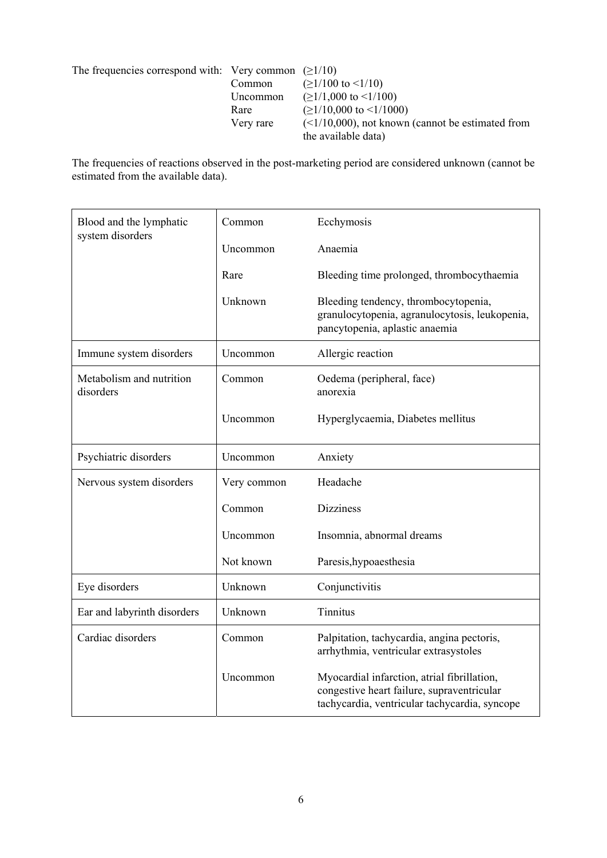| The frequencies correspond with: Very common $(21/10)$ |           |                                                     |
|--------------------------------------------------------|-----------|-----------------------------------------------------|
|                                                        | Common    | $( \geq 1/100 \text{ to } \leq 1/10 )$              |
|                                                        | Uncommon  | $\geq$ 1/1,000 to <1/100)                           |
|                                                        | Rare      | $( \geq 1/10,000 \text{ to } \leq 1/1000 )$         |
|                                                        | Very rare | $(<1/10,000)$ , not known (cannot be estimated from |
|                                                        |           | the available data)                                 |

The frequencies of reactions observed in the post-marketing period are considered unknown (cannot be estimated from the available data).

| Blood and the lymphatic<br>system disorders | Common      | Ecchymosis                                                                                                                                 |
|---------------------------------------------|-------------|--------------------------------------------------------------------------------------------------------------------------------------------|
|                                             | Uncommon    | Anaemia                                                                                                                                    |
|                                             | Rare        | Bleeding time prolonged, thrombocythaemia                                                                                                  |
|                                             | Unknown     | Bleeding tendency, thrombocytopenia,<br>granulocytopenia, agranulocytosis, leukopenia,<br>pancytopenia, aplastic anaemia                   |
| Immune system disorders                     | Uncommon    | Allergic reaction                                                                                                                          |
| Metabolism and nutrition<br>disorders       | Common      | Oedema (peripheral, face)<br>anorexia                                                                                                      |
|                                             | Uncommon    | Hyperglycaemia, Diabetes mellitus                                                                                                          |
| Psychiatric disorders                       | Uncommon    | Anxiety                                                                                                                                    |
| Nervous system disorders                    | Very common | Headache                                                                                                                                   |
|                                             | Common      | <b>Dizziness</b>                                                                                                                           |
|                                             | Uncommon    | Insomnia, abnormal dreams                                                                                                                  |
|                                             | Not known   | Paresis, hypoaes the sia                                                                                                                   |
| Eye disorders                               | Unknown     | Conjunctivitis                                                                                                                             |
| Ear and labyrinth disorders                 | Unknown     | <b>Tinnitus</b>                                                                                                                            |
| Cardiac disorders                           | Common      | Palpitation, tachycardia, angina pectoris,<br>arrhythmia, ventricular extrasystoles                                                        |
|                                             | Uncommon    | Myocardial infarction, atrial fibrillation,<br>congestive heart failure, supraventricular<br>tachycardia, ventricular tachycardia, syncope |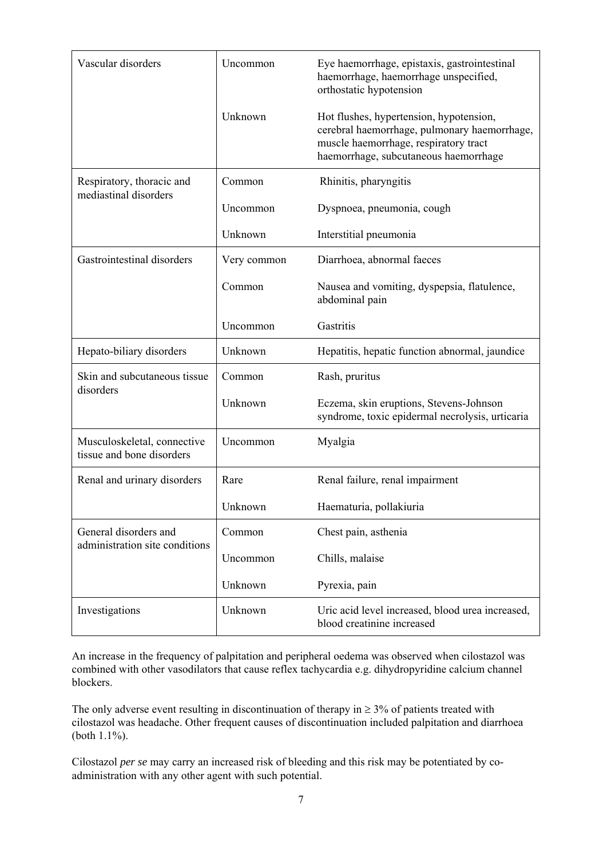| Vascular disorders                                       | Uncommon    | Eye haemorrhage, epistaxis, gastrointestinal<br>haemorrhage, haemorrhage unspecified,<br>orthostatic hypotension                                                          |
|----------------------------------------------------------|-------------|---------------------------------------------------------------------------------------------------------------------------------------------------------------------------|
|                                                          | Unknown     | Hot flushes, hypertension, hypotension,<br>cerebral haemorrhage, pulmonary haemorrhage,<br>muscle haemorrhage, respiratory tract<br>haemorrhage, subcutaneous haemorrhage |
| Respiratory, thoracic and<br>mediastinal disorders       | Common      | Rhinitis, pharyngitis                                                                                                                                                     |
|                                                          | Uncommon    | Dyspnoea, pneumonia, cough                                                                                                                                                |
|                                                          | Unknown     | Interstitial pneumonia                                                                                                                                                    |
| Gastrointestinal disorders                               | Very common | Diarrhoea, abnormal faeces                                                                                                                                                |
|                                                          | Common      | Nausea and vomiting, dyspepsia, flatulence,<br>abdominal pain                                                                                                             |
|                                                          | Uncommon    | Gastritis                                                                                                                                                                 |
| Hepato-biliary disorders                                 | Unknown     | Hepatitis, hepatic function abnormal, jaundice                                                                                                                            |
| Skin and subcutaneous tissue<br>disorders                | Common      | Rash, pruritus                                                                                                                                                            |
|                                                          | Unknown     | Eczema, skin eruptions, Stevens-Johnson<br>syndrome, toxic epidermal necrolysis, urticaria                                                                                |
| Musculoskeletal, connective<br>tissue and bone disorders | Uncommon    | Myalgia                                                                                                                                                                   |
| Renal and urinary disorders                              | Rare        | Renal failure, renal impairment                                                                                                                                           |
|                                                          | Unknown     | Haematuria, pollakiuria                                                                                                                                                   |
| General disorders and<br>administration site conditions  | Common      | Chest pain, asthenia                                                                                                                                                      |
|                                                          | Uncommon    | Chills, malaise                                                                                                                                                           |
|                                                          | Unknown     | Pyrexia, pain                                                                                                                                                             |
| Investigations                                           | Unknown     | Uric acid level increased, blood urea increased,<br>blood creatinine increased                                                                                            |

An increase in the frequency of palpitation and peripheral oedema was observed when cilostazol was combined with other vasodilators that cause reflex tachycardia e.g. dihydropyridine calcium channel blockers.

The only adverse event resulting in discontinuation of therapy in  $\geq$  3% of patients treated with cilostazol was headache. Other frequent causes of discontinuation included palpitation and diarrhoea (both 1.1%).

Cilostazol *per se* may carry an increased risk of bleeding and this risk may be potentiated by coadministration with any other agent with such potential.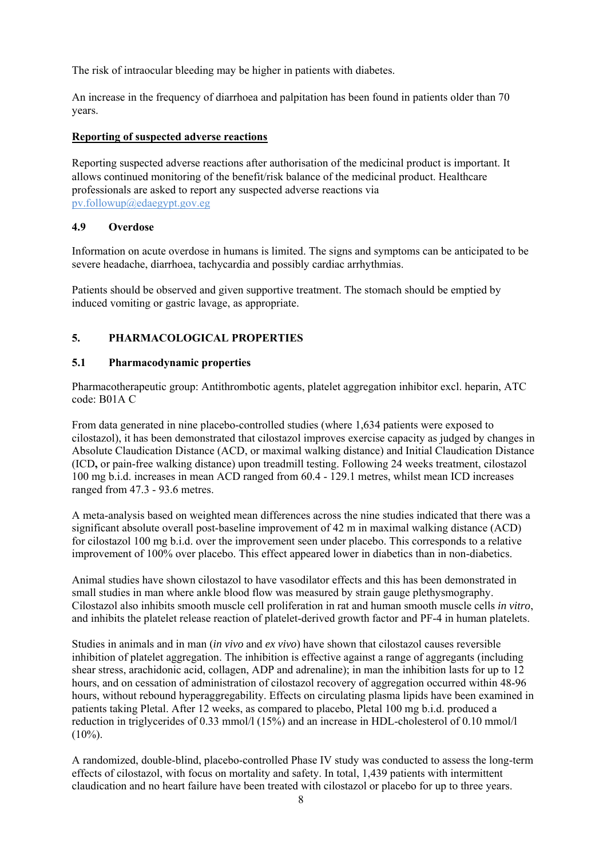The risk of intraocular bleeding may be higher in patients with diabetes.

An increase in the frequency of diarrhoea and palpitation has been found in patients older than 70 years.

#### **Reporting of suspected adverse reactions**

Reporting suspected adverse reactions after authorisation of the medicinal product is important. It allows continued monitoring of the benefit/risk balance of the medicinal product. Healthcare professionals are asked to report any suspected adverse reactions via pv.followup@edaegypt.gov.eg

#### **4.9 Overdose**

Information on acute overdose in humans is limited. The signs and symptoms can be anticipated to be severe headache, diarrhoea, tachycardia and possibly cardiac arrhythmias.

Patients should be observed and given supportive treatment. The stomach should be emptied by induced vomiting or gastric lavage, as appropriate.

### **5. PHARMACOLOGICAL PROPERTIES**

#### **5.1 Pharmacodynamic properties**

Pharmacotherapeutic group: Antithrombotic agents, platelet aggregation inhibitor excl. heparin, ATC code: B01A C

From data generated in nine placebo-controlled studies (where 1,634 patients were exposed to cilostazol), it has been demonstrated that cilostazol improves exercise capacity as judged by changes in Absolute Claudication Distance (ACD, or maximal walking distance) and Initial Claudication Distance (ICD**,** or pain-free walking distance) upon treadmill testing. Following 24 weeks treatment, cilostazol 100 mg b.i.d. increases in mean ACD ranged from 60.4 - 129.1 metres, whilst mean ICD increases ranged from 47.3 - 93.6 metres.

A meta-analysis based on weighted mean differences across the nine studies indicated that there was a significant absolute overall post-baseline improvement of 42 m in maximal walking distance (ACD) for cilostazol 100 mg b.i.d. over the improvement seen under placebo. This corresponds to a relative improvement of 100% over placebo. This effect appeared lower in diabetics than in non-diabetics.

Animal studies have shown cilostazol to have vasodilator effects and this has been demonstrated in small studies in man where ankle blood flow was measured by strain gauge plethysmography. Cilostazol also inhibits smooth muscle cell proliferation in rat and human smooth muscle cells *in vitro*, and inhibits the platelet release reaction of platelet-derived growth factor and PF-4 in human platelets.

Studies in animals and in man (*in vivo* and *ex vivo*) have shown that cilostazol causes reversible inhibition of platelet aggregation. The inhibition is effective against a range of aggregants (including shear stress, arachidonic acid, collagen, ADP and adrenaline); in man the inhibition lasts for up to 12 hours, and on cessation of administration of cilostazol recovery of aggregation occurred within 48-96 hours, without rebound hyperaggregability. Effects on circulating plasma lipids have been examined in patients taking Pletal. After 12 weeks, as compared to placebo, Pletal 100 mg b.i.d. produced a reduction in triglycerides of 0.33 mmol/l (15%) and an increase in HDL-cholesterol of 0.10 mmol/l  $(10\%)$ .

A randomized, double-blind, placebo-controlled Phase IV study was conducted to assess the long-term effects of cilostazol, with focus on mortality and safety. In total, 1,439 patients with intermittent claudication and no heart failure have been treated with cilostazol or placebo for up to three years.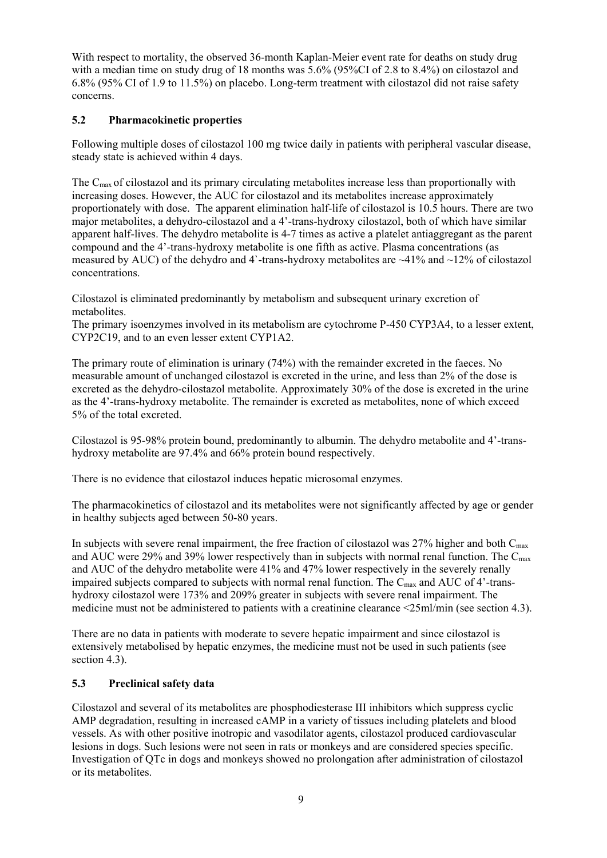With respect to mortality, the observed 36-month Kaplan-Meier event rate for deaths on study drug with a median time on study drug of 18 months was 5.6% (95%CI of 2.8 to 8.4%) on cilostazol and 6.8% (95% CI of 1.9 to 11.5%) on placebo. Long-term treatment with cilostazol did not raise safety concerns.

#### **5.2 Pharmacokinetic properties**

Following multiple doses of cilostazol 100 mg twice daily in patients with peripheral vascular disease, steady state is achieved within 4 days.

The Cmax of cilostazol and its primary circulating metabolites increase less than proportionally with increasing doses. However, the AUC for cilostazol and its metabolites increase approximately proportionately with dose. The apparent elimination half-life of cilostazol is 10.5 hours. There are two major metabolites, a dehydro-cilostazol and a 4'-trans-hydroxy cilostazol, both of which have similar apparent half-lives. The dehydro metabolite is 4-7 times as active a platelet antiaggregant as the parent compound and the 4'-trans-hydroxy metabolite is one fifth as active. Plasma concentrations (as measured by AUC) of the dehydro and 4`-trans-hydroxy metabolites are  $\sim$ 41% and  $\sim$ 12% of cilostazol concentrations.

Cilostazol is eliminated predominantly by metabolism and subsequent urinary excretion of metabolites.

The primary isoenzymes involved in its metabolism are cytochrome P-450 CYP3A4, to a lesser extent, CYP2C19, and to an even lesser extent CYP1A2.

The primary route of elimination is urinary (74%) with the remainder excreted in the faeces. No measurable amount of unchanged cilostazol is excreted in the urine, and less than 2% of the dose is excreted as the dehydro-cilostazol metabolite. Approximately 30% of the dose is excreted in the urine as the 4'-trans-hydroxy metabolite. The remainder is excreted as metabolites, none of which exceed 5% of the total excreted.

Cilostazol is 95-98% protein bound, predominantly to albumin. The dehydro metabolite and 4'-transhydroxy metabolite are 97.4% and 66% protein bound respectively.

There is no evidence that cilostazol induces hepatic microsomal enzymes.

The pharmacokinetics of cilostazol and its metabolites were not significantly affected by age or gender in healthy subjects aged between 50-80 years.

In subjects with severe renal impairment, the free fraction of cilostazol was  $27\%$  higher and both  $C_{\text{max}}$ and AUC were 29% and 39% lower respectively than in subjects with normal renal function. The  $C_{\text{max}}$ and AUC of the dehydro metabolite were 41% and 47% lower respectively in the severely renally impaired subjects compared to subjects with normal renal function. The C<sub>max</sub> and AUC of 4'-transhydroxy cilostazol were 173% and 209% greater in subjects with severe renal impairment. The medicine must not be administered to patients with a creatinine clearance <25ml/min (see section 4.3).

There are no data in patients with moderate to severe hepatic impairment and since cilostazol is extensively metabolised by hepatic enzymes, the medicine must not be used in such patients (see section 4.3).

#### **5.3 Preclinical safety data**

Cilostazol and several of its metabolites are phosphodiesterase III inhibitors which suppress cyclic AMP degradation, resulting in increased cAMP in a variety of tissues including platelets and blood vessels. As with other positive inotropic and vasodilator agents, cilostazol produced cardiovascular lesions in dogs. Such lesions were not seen in rats or monkeys and are considered species specific. Investigation of QTc in dogs and monkeys showed no prolongation after administration of cilostazol or its metabolites.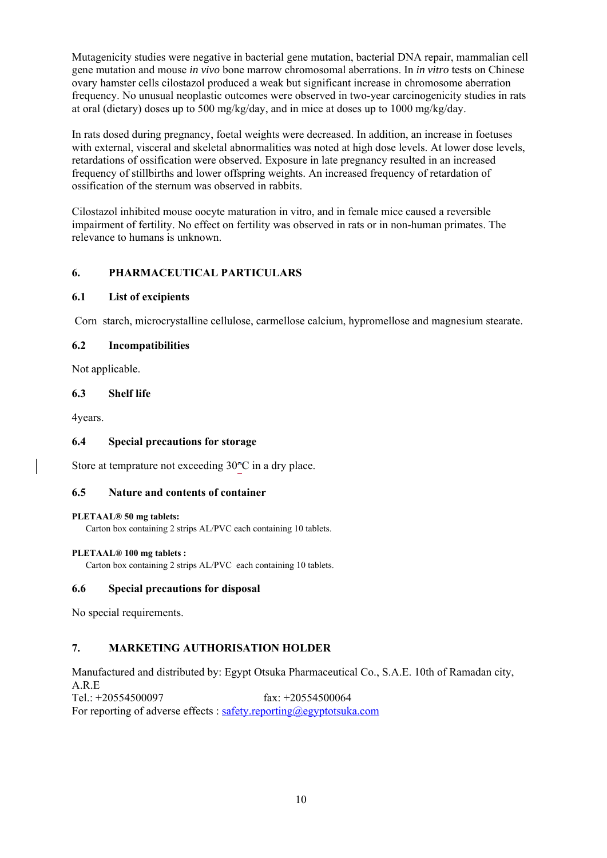Mutagenicity studies were negative in bacterial gene mutation, bacterial DNA repair, mammalian cell gene mutation and mouse *in vivo* bone marrow chromosomal aberrations. In *in vitro* tests on Chinese ovary hamster cells cilostazol produced a weak but significant increase in chromosome aberration frequency. No unusual neoplastic outcomes were observed in two-year carcinogenicity studies in rats at oral (dietary) doses up to 500 mg/kg/day, and in mice at doses up to 1000 mg/kg/day.

In rats dosed during pregnancy, foetal weights were decreased. In addition, an increase in foetuses with external, visceral and skeletal abnormalities was noted at high dose levels. At lower dose levels, retardations of ossification were observed. Exposure in late pregnancy resulted in an increased frequency of stillbirths and lower offspring weights. An increased frequency of retardation of ossification of the sternum was observed in rabbits.

Cilostazol inhibited mouse oocyte maturation in vitro, and in female mice caused a reversible impairment of fertility. No effect on fertility was observed in rats or in non-human primates. The relevance to humans is unknown.

#### **6. PHARMACEUTICAL PARTICULARS**

#### **6.1 List of excipients**

Corn starch, microcrystalline cellulose, carmellose calcium, hypromellose and magnesium stearate.

#### **6.2 Incompatibilities**

Not applicable.

#### **6.3 Shelf life**

4years.

#### **6.4 Special precautions for storage**

Store at temprature not exceeding  $30^{\circ}$ C in a dry place.

#### **6.5 Nature and contents of container**

#### **PLETAAL® 50 mg tablets:**

Carton box containing 2 strips AL/PVC each containing 10 tablets.

#### **PLETAAL® 100 mg tablets :**

Carton box containing 2 strips AL/PVC each containing 10 tablets.

#### **6.6 Special precautions for disposal**

No special requirements.

#### **7. MARKETING AUTHORISATION HOLDER**

Manufactured and distributed by: Egypt Otsuka Pharmaceutical Co., S.A.E. 10th of Ramadan city, A.R.E Tel.:  $+20554500097$   $\text{fax: } +20554500064$ 

For reporting of adverse effects : safety.reporting@egyptotsuka.com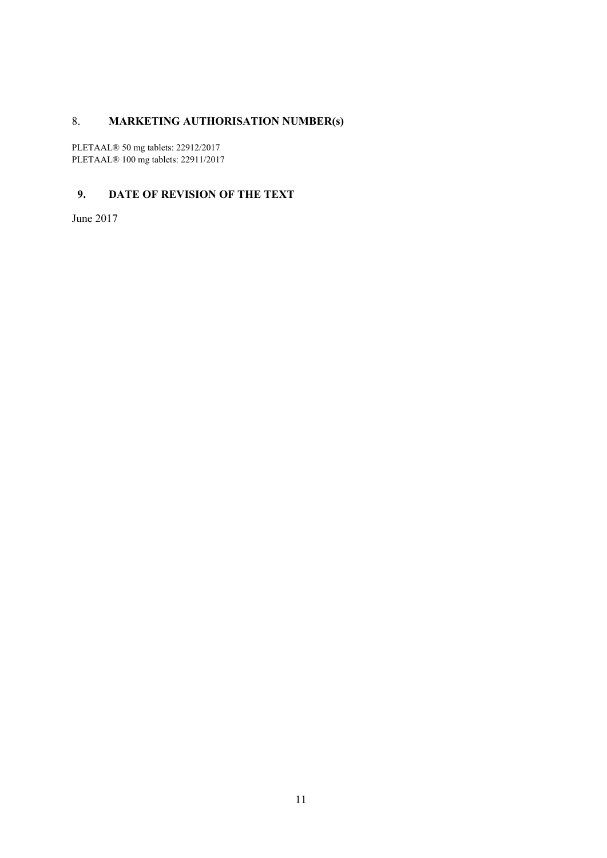# 8. **MARKETING AUTHORISATION NUMBER(s)**

PLETAAL® 50 mg tablets: 22912/2017 PLETAAL® 100 mg tablets: 22911/2017

### **9. DATE OF REVISION OF THE TEXT**

June 2017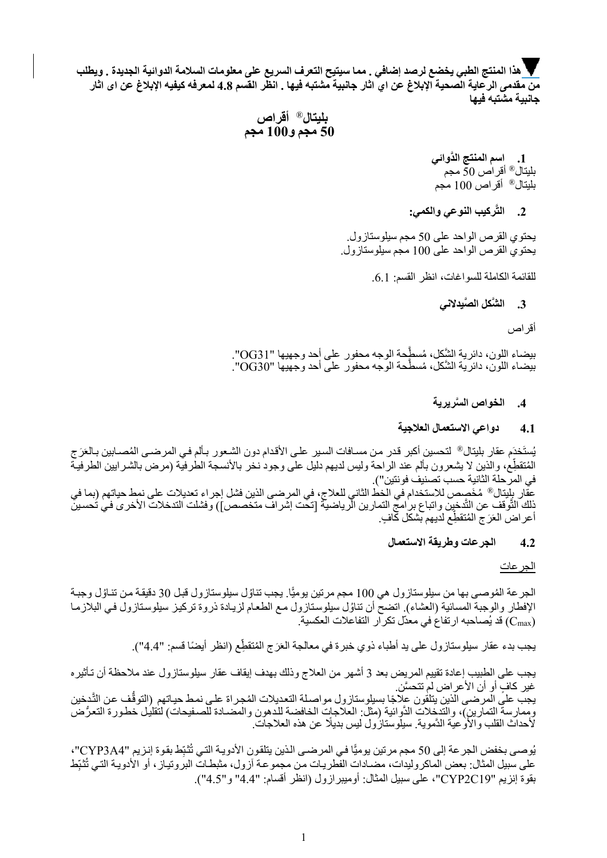**هذا المنتج الطبي يخضع لرصد إضافي . مما سيتيح التعرف السريع على معلومات السلامة الدوائية الجديدة . ويطلب من مقدمى الرعاية الصحية الإبلاغ عن اي اثار جانبية مشتبه فيها . انظر القسم 4.8 لمعرفه كيفيه الإبلاغ عن اى اثار جانبية مشتبه فيها**

# بليتال® أقراص<br>50 **مجم و100 مجم**

**.1 َّ اسم المنتج الدوائي** بليتال® أقراص 50ً مجم بليتال® أقراص 100 مجم

#### **َّركيب النوعي والكمي: .2 الت**

يحتوي القرص الواحد على 50 مجم سيلوستازول. يحتوي القرص الواحد على 100 مجم سيلوستازول.

للقائمة الكاملة للسواغات، انظر القسم: .6.1

#### **.3 َّ الش َّ كل الصيدلاني**

أقراص

َّ بيضاء اللون، دائرية الش 31OG". ُ كل، م َّسطحة الوجه محفور على أحد وجهيها " َّ بيضاء اللون، دائرية الش 30OG". ُ كل، م َّسطحة الوجه محفور على أحد وجهيها "

#### **.4 َّ الخواص السريرية**

#### **4.1 دواعي الاستعمال العلاجية**

يُستَخدَم عقار بليتال® لتحسين أكبر قدر من مسـافات السير علـى الأقدام دون الشـعور بـألم فـي المرضـى المُصــابين بـالعَرَج المُتقطِع، والذين لا يشعرون بألم عند الراحة وليس لديهم دليل على وجود نخر بالأنسجة الطرفية (مرض بالشرايين الطرفية في المرحلة الثانية حسب تصنيف فونتين"). عقّار بِلِّبتال® مُخَصِص للاستخدام في الخط الثاني للعلاج، في المرضى الذين فشل إجراء تعديلات على نمط حياتهم (بما في ذِلك التَّوفف عن الثَّ أعراض العَرَج المُتقطِّع لديهم بشكل كافٍ.

#### **4.2 الجرعات وطريقة الاستعمال**

الجرعات

الجر عة المُوصىي بها من سيلوستازول هي 100 مجم مرتين يوميًّا. يجب تناوُل سيلوستازول فبل 30 دقيقة من تنـاوُل وجبـة الإفطار والوجبة المسائية (العشاء). اتضح أن تناوُل سيلوستازول مع الطعام لزيادة ذروة تركيز سيلوستازول في البلازما قد يُصـاحبه ارتفاع في معدّا (C<sub>max</sub>

يجب بدء عقار سيلوستازول على يد أطباء ذوي خبرة في معالجة العَرَج المُتقطِّع (انظر أيضًا قسم: "4.4").

يجب على الطبيب إعادة تقييم المريض بعد 3 أشهر من العلاج وذلك بهدف إيقاف عقار سيلوستازول عند ملاحظة أن تѧأثيره غير كافٍ أو أن الأعراض لم تتحسَّن. يجب على المرصى الذين يتلقون علاجًا بسيلوستازول مواصلة التعديلات المُجراة علي نمط حياتهم (التوقَّف عن التَّدخين

وممارسة التمارين)، والتدخلات الدَّوائية (مثل: العلاجات الخافضة للدهون والمضـادة للصـفيحات) لتقليل خطـورة التعرُض لأحداث القلب والأوعيّة الدَّموية. سيلّوستازُول ليس بديلًا عن هذه العلاجاتّ.

يُوصى بخفض الجرعة إلى 50 مجم مرتين يوميًّا في المرضى الذين يتلقون الأدويـة التي تُثبِّط بقوة إنزيم "CYP3A4"، على سبيل المثال: بعض الماكروليدات، مضـادات الفطريـات من مجموعـة آزول، مثبطـات البروتيـاز ، أو الأدويـة التـي تُثبِّط ِ بقوة إنزيم "19C2CYP"، على سبيل المثال: أوميبرازول (انظر أقسام: "4.4" و"4.5").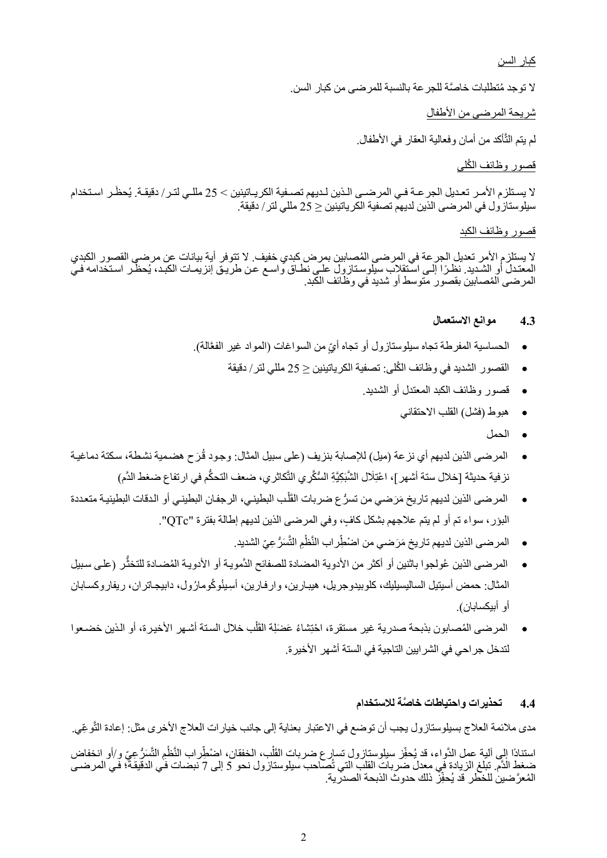كبار السن

ُ لا توجد م َّ تطلبات خاصة للجرعة بالنسبة للمرضى من كبار السن.

شريحة المرضى من الأطفال

لم يتم الثَّأكد من أمان وفعالية العقار في الأطفال.

#### قصور وظائف الكُلي

لا يستلزم الأمـر تعـديل الجر عــة فـي المرضــى الـذين لـديهم تصــفية الكريــاتينين > 25 مللـي لتـر/ دقيقـة. يُحظَـر اسـتخدام سيلوستازول في المرضى الذين لديهم تصفية الكرياتينين ≤ 25 مللي لتر/ دقيقة.

#### قصور وظائف الكبد

لا يستلزم الأمر تعديل الجرعة في المرضى المُصابين بمرض كبدي خفيف. لا تتوفر أية بيانات عن مرضى القصور الكبدي المعتدل أو الشّديد. نظرًا إلى استّقلاب سيلوستازول على نطاق واسـع عن طريق إنزيمـات الكبد، يُحظّر استخدامه فيّ<br>المرضى المُصـابين بقصور متوسط أو شديد في وظائف الكبد.

#### **4.3 موانع الاستعمال**

- الحساسية المفرطة تجاه سيلوستازول أو تجاه أيِّ من السواغات (المواد غير الفعَّالة).
	- ُ القصور الشديد في وظائف الكلى: تصفية الكرياتينين ≤ 25 مللي لتر/ دقيقة
		- قصور وظائف الكبد المعتدل أو الشديد.
			- هبوط (فشل) القلب الاحتقاني
				- الحمل
- ֧֝֟֝֬֟֝֟֟֓<u>֖</u> ● المرضىي الذين لديهم أي نزعة (ميل) للإصابة بنزيف (على سبيل المثال: وجود قُرَح هضمية نشطة، سكتة دماغية نز فية حديثة [خلال ستة أشهر ]، اعْتِلَال الشَّبَكِيَّةِ السُّكَّرِ ي التَّكاثر ي، ضعف التحكَّم في ارتفاع ضغط الدَّم)
- المر ضبي الذين لديهم تار يخ مَرَ ضبي من تسرُّ ع ضر بات القَلْب البطيني، الر جفان البطيني أو الدقات البطينيـة متعددة َْ ● المرضى الذين لديهم تاريخ مَرَ ضي من تسرَّ ع ضربات القلب البطيني، الرجفان البطيني أو ا<br>البؤر ، سواء تم أو لم يتم علاجهم بشكل كافٍ، وفي المرضى الذين لديهم إطالة بفترة "QTc".
	- **ٔ** ● المرضى الذين لديهم تاريخ مَرَضي من اضْطِّراب النَّظْمِ التَّسَرُّ عِيِّ الشديد.
- المرضى الذين عُولجوا باثنين أو أكثر من الأدوية المضادة للصفائح الدَّمويـة أو الأدويـة المُضـادة للتخثُّر (علـي سبيل المثال: حمض أسيتيل الساليسيليك، كلوبيدوجريل، هيبـارين، وارفـارين، أسِـينُوكُومارُول، دابيجـاتران، ريفاروكسـابان أو أبيكسابان).
- المرضى المُصابون بذبحة صدرية غير مستقرة، احْتِشاءُ عَضَلِة الْقَلْب خلال السنة أُشهر الأخيرة، أو الذين خضعوا ً َْ لتدخل جراحي في الشرايين التاجية في الستة أشهر الأخيرة.

#### **4.4 َّ تحذيرات واحتياطات خاصة للاستخدام**

مدى ملائمة العلاج بسيلوستازول يجب أن توضع في الاعتبار بعناية إلى جانب خيارات العلاج الأخرى مثل: إعادة التَّوعِّي. َّاستنادًا إلى آلية عمل الدَّواء، قد يُحفِّز سيلوستازول تسارع ضربات القَلْب، الخفقان، اضْطِّراب النَّظْمِ التَّسَرُّ عِيِّ و/أو انخفاض ا<br>ا َل .<br>ا ضغط الْدَّم. تبلغ الزيادة في معدل ضربات القلب التي تُصاحب سيلوستازول نحو 5 إلى 7 نبضات في الدقيقة؛ في المرضـي المُعرَّضينِ للخطرِ قَد يُحفِّزِ ذلك حدوث الذبحة الصدرية.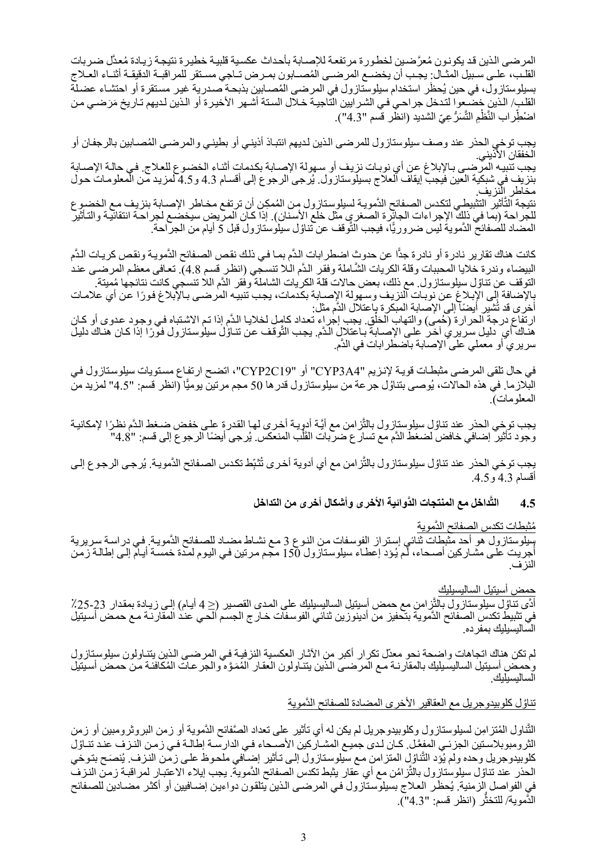المرضى الذين قد يكونون مُعرَّضين لخطورة مرتفعة للإصـابة بأحداث عكسية قلبية خطيرة نتيجة زيـادة مُعدَّل ضـربات القلب، علـي سـبيل المثـال: يجـب أن يخضـع المرضـي المُصـابون بمـرض تـاجي مسـتقر للمراقبـة الدقيقـة أثنـاء العـلاج بسيلوستازول، في حين يُحظَر استخدام سيلوسّتازول في المرضى المُصـابين بذبحـة ُصـدرية غيـر مستقرة أو احتشـاء عضـلّة القلب/ الذين خضعوا لتدخل جراحي في الشرايين التاجية خـلال الستة أشـهر الأخيرة أو الذين لديهم تـاريخ مَرَضـي من **ٔ** اضْطِّر اب النَّظْمِ التَّسَرُّ عِيِّ الشديد (انظْر قسم "4.3").

يجب توخي الحذر عند وصف سيلوستازول للمرضى الذين لديهم انتباذ أذيني أو بطيني والمرضمى المُصـابين بالرجفان أو الخفقان الأذيني. يجب تنبيه المرضى بالإبلاغ عن أي نوبات نزيف أو سهولة الإصابة بكدمات أثنـاء الخضـوع للعلاج. في حالـة الإصـابة بنزيف في شبكية العين فيجبّ إيقاف العلاج بسيلوستازول. يُرجى الرجوع إلى أقسـام 4.3 و4.5 لمزيد مّن المعلومـات حول مخاطر النزيف. نتيجة التَّأثير التثبيطي لتكدس الصفائح الدَّموية لسيلوستازول من المُمكِن أن ترتفع مخـاطر الإصـابة بنزيف مـع الخضروع للجراحة (بما في ذلك الإجراءات الجائِرة الصغرى مثل خلع الأسنان). إذا كان المريض سيخضع لجراحة انتقائية والتأثير المضّاد للصفائح الدَّمويةُ ليس ضروريًّا، فيجب التَّوقف عن تناوُل سيلوستازول قبل 5 أيام من الجراحة.

كانت هناك تقارير نادرة أو نادرة جدًّا عن حدوث اضطرابات الدَّم بمـا فـي ذلك نقص الصـفائح الدَّمويـة ونقص كريـات الدَّم البيضاء وندرة خلايا المحببات وقلة الكريات الشَّاملة وفقر الدَّم الـلا تنسجي (انظر قسم 4.8). تعافي معظم المرضـي عند التوقف عن تناوُل سيلوستازول ِ مع ذلك، بعض حالات قلة الكريات الشاملة وفقر الدَّم اللا تنسجي كانت نتائجها مُميتة. بالإضافة إلى الإبلاغ عن نوبات النزيف وسهولة الإصابة بكدمات، يجب تنبيه المرضىي بالإبلاغ فورًا عن أي علامات أخرى قد تُشْيِر أيضاً إلى الإصابة المبكرة باعتلال الدَّم مثل:

ارتفاع درجة الحّرارة (حُمى) والتهاب الْحَلْق يجب إجراء تعداد كامل لخلايا الدَّم إذا تم الاشتباه في وجود عدوى أو كـان<br>هناك أي ٍ دليل سريري آخر على الإصبابة بـاعتلالٍ الدَّم. يجب التَّوقف عن تنـاوُل سيلوستازول فورًا إذا كـا ََّّم. سريري أو معملي على الإصابة باضطرابات في الد

في حال تلقى المرضى مثبطات قوية لإنزيم "CYP3A4" أو "CYP2C19"، اتضح ارتفاع مستويات سيلوستازول في البلازما. في هذه الحالات، يُوصـى بتناوُل جر عة من سيلوستازول قدر ها 50 مجم مرتين يوميًّا (انظر قسم: "4.5" لمزيد من المعلومات).

يجب توخي الحذر عند تناوُل سيلوستازول بالتَّزامن مع أيَّة أدويـة أخرى لهـا القدر ة علـى خفض ضـغط الدَّم نظرًا لإمكانيـة<br>وجود تأثير إضـافي خافض لضغط الدَّم مع تسار ع ضربات القَلْب المنعكس. يُرجى أيضًا الرجو ع إلى قسم: "4. وجود تأثير ً إضـافي خافض لضغط الدَّم مع تسار ع ضربات القَلْب المنعكس. يُـ َْ

يِجب توخي الحذر عند تناوُل سيلوستازول بالثَّز امن مع أي أدوية أخرى تُثبِّط تكدس الصـفائح الدَّمويـة. يُرجـى الرجوع إلـى أقسام 4.3 و.4.5

> **َّ َّ داخل مع المنتجات الدوائية الأخرى وأشكال أخرى من التداخل 4.5 الت**

> > مُثْبطات تكدس الصفائح الدَّموية

سليلوستازول هو أحد مثبطات ثنائي إستراز الفوسفات من النوع 3 مـع نشـاط مضـاد للصـفائح الدَّمويـة. فـي دراسـة سريرية أُجّريت على مشاركين أصـحاء، لم يُود إعطـاء سيلوستازول 150 مجم مرتين فـي اليوم لمدة خمسة أيـام إلـى إطالـة زمّن النزف.

حمض أسيتيل الساليسيليك

أدًى تناوُل سيلوستازول بالثَّزِامن مع حمض أسيتيل الساليسيليك على المدى القصير (≤ 4 أيـام) إلى زيـادة بمقدار 23-25٪ في تثبيط تكدس الصفائح الدَّموية بتحفيز من أدينوزين ثنائي الفوسفات خـار ج الجسم الحـي عند المقارنـة مـع حمض أسيتيل الساليسيليك بمفرده.

لم تكن هناك اتجاهات واضحة نحو معدّل تكرار أكبر من الأثـار العكسية النزفيـة فـي المرضـي الذين يتنـاولون سيلوسـتازول وحمض أسيتيل الساليسيليك بالمقارنـة مـع المرضـى الذين يتنـاولون العقار المُمَوَّه والجرعات المُكافئـة من حمض أسيتيل الساليسيليك.

تناؤل كلوبيدوجريل مع العقاقير الأخرى المضادة للصفائح الدَّموية

النَّناول المُنزامِن لسيلوستازول وكلوبيدوجريل لم يكن له أي تأثير على تعداد الصَّفائح الدَّموية أو زمن البروثرومبين أو زمن َّالثر ومبوبلاستين الجزئي المفعَّل. كـان لـدى جميـع المشـاركين الأصـحاء فـي الدارسـة إطالـة فـي زمـن النـزف عنـد تنـاؤل كلوبيدوجريل وحده ولم يُؤد التّناوُلِ المنزامن مـع سيلوستازول إلـى تـأثير إضـافي ملحوظ علـى زمـن النـزف. يُنصَـح بتـوخي َّالحذر عند تناوُل سيلوستازِول بالتّزامُن مع أي عقار يثبط تكدس الصفائح الدَّموية. يجب إيلاء الاعتبـار لمراقبـة زمـن النـزف َّفي الفواصل الزمنية. يُحظَر العلاج بسيلوستازول في المرضى الذين يتلقون دواءين إضـافيين أو أكثر مضـادين للصـفائح الذَّموية/ للتخثَّر (انظر قسم: "4.3").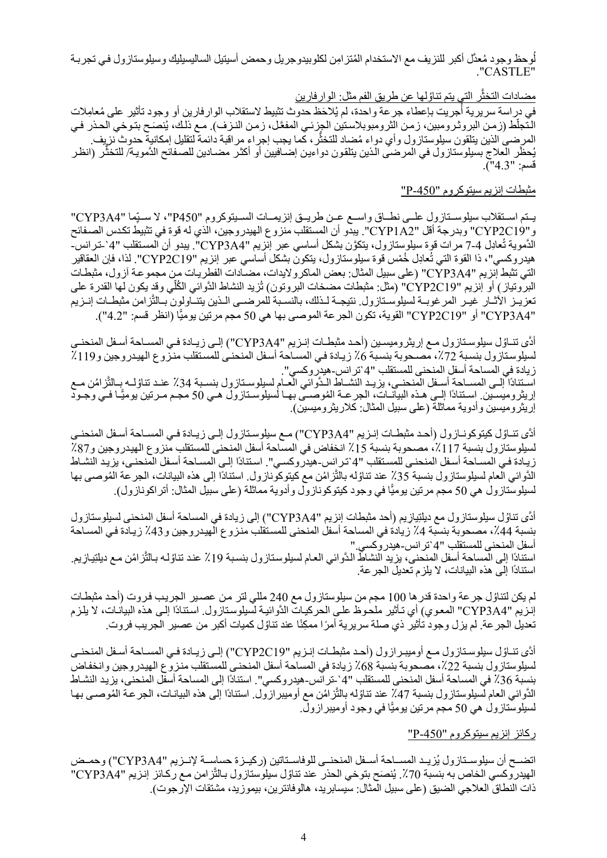لُوحظ وجود مُعدَّل أكبر للنزيف مع الاستخدام المُتزامِن لكلوبيدوجريل وحمض أسيتيل الساليسيليك وسيلوستازول في تجربـة ."CASTLE"

#### مضادات التخثّر التي يتم تناوُلها عن طريق الفم مثل: الوارفارين

في دراسة سريرية أُجريت بإعطاء جرعة واحدة، لم يُلاحَظ حدوث تثبيط لاستقلاب الوارفارين أو وجود تأثير على مُعامِلات النّجلّط (زمن البروثرومبين، زمن الثرومبوبلاستين الجزئي المفعّل، زمن النـزف). مـع ذلك، يُنصَـح بتـوخي الحـذر فـي المرضىي الذين يتلقون سيلوستازول وأي دواء مُضاد للتخثُّر ، كما يجب إجراء مراقبة دائمة لتقليل إمكانية حدوث نزيف. المرضى الذين يتلقون سيلوستازول وأي دواء مُضاد للتخثر، كما يجب إجراء مراقبة دائمة لتقليل إمكانية حدوث نزيف.<br>يُحظَّر العلاج بسيلوستازول في المرضى الذين يتلقون دواءين إضـافيين أو أكثر مضـادين للصـفائح الدَّمويـة/ للتخثُّر قسم: "4.3").

#### مثبطات إنزيم سيتوكروم "P-450"

يتم استقلاب سيلوسـتازول علـي نطـاق واسـع عـن طريـق إنزيمـات السـيتوكروم "P450"، لا سـيّما "CYP3A4" و "219YP2C19" وبدرجة أقل "2YP1A2". يبدو أن المستقلب منزوع الهيدروجين، الذي له قوة في تثبيط تكدس الصـفائح الدَّموية تُـعادِل 4-7 مرات قوة سيلوستازول، يتكوَّن بشكل أساسي عبر إنزيم "CYP3A4". يبدو أن المستقلب "4`-تـرانس-هيدروكسي"، ذا القوة التي تُعادِل خُمْس قوة سيلوستازول، يتكون بشكل أساسي عبر إنزيم "CYP2C19". لذا، فإن العقاقير التي تثبط إنزيم "CYP3A4" (على سبيل المثال: بعض الماكرولايدات، مضـادات الفطريـات من مجموعـة آزول، مثبطـات ֖֖֖֖֖֖֖֖֖֖֚֚֚֚֚֚֚֚֚֚֚֚֚֚֡֬<br>֧֪֪֪֪֝֩ البروتياز) أو إنزيم "CYP2C19" (مثل: مثبطات مضخات البروتون) تُزيد النشاط الدَّوائي الكُلْي وقد يكون لمها القدرة على تعزيـز الآثـار غيـر المرغوبـة لسيلوسـتازول. نتيجـة لـذلك، بالنسـبة للمرضــي الـذين يتنـّـاولون بـالتَّزامن مثبطـات إنـزيم "4A3CYP "أو "19C2CYP "القوية، تكون الجرعة الموصى بها هي 50 مجم مرتين يومي̒ا (انظر قسم: "4.2").

أدَّى تنـاوُل سيلوسـتازول مـع إريثروميسـين (أحـد مثبطـات إنـزيم "CYP3A4") إلـى زيـادة فـي المسـاحة أسـفل المنحنـي لسيلوستازول بنسبة 72٪، مصـحوبة بنسبة 6٪ زيادة في المسـاحة أسفل المنحنـي للمستقلب منزوع الهيدروجين و119٪ زيادة في المساحة أسفل المنحنى للمستقلب "4`ترانس-هيدروكسي". اسـتنادًا إلـى المســاحة أســفل المنحنــى، يزيـد النشــاط الـدَّوائي العــام لسيلوسـتازول بنسـبة 34٪ عنـد تناؤلــه بــالتّزامُن مــع<br>إريثروميسـين ِ إسـتنادًا إلــي هـذه البيانــات، الجرعــة المُوصــى بهـا لسيلوسـتازول هـي َّإريثروميسين وأدوية مماثلة (على سبيل المثال: كلاريثروميسين).

أدَّى تنـاؤل كيتوكونـازول (أحـد مثبطـات إنـزيم "CYP3A4") مـع سيلوسـتازول إلـى زيـادة فـي المسـاحة أسـفل المنحنـى لسيلوستازول بنسبة 117٪، مصحوبة بنسبة 15٪ انخفاض في المساحة أسفل المنحنى للمستقلب منزوع الهيدروجين و87٪ زيادة فـي المسـاحة أسـفل المنحنـي للمسـتقلب "4`تـرانس-هيدروكسـي". اسـتنادًا إلـي المسـاحة أسـفل المنحنـي، يزيد النشـاط الدُّوائي العام لسيلوستازول بنسبة 35٪ عند تناؤله بالتَّزامُن مع كيتوكونازول. استنادًا إلى هذه البيانات، الجرعة المُوصىي بها َّلسيلوستازول هي 50 مجم مرتين يومي̒ا في وجود كيتوكونازول وأدوية مماثلة (على سبيل المثال: أتراكونازول).

أدًى تناوُل سيلوستازول مع ديلتِيازيم (أحد مثبطات إنزيم "CYP3A4") إلى زيادة في المساحة أسفل المنحنى لسيلوستازول بنسبة 44٪، مصحوبة بنسبة 4٪ زيادة في المساحة أسفل المنحنى للمستقلب منزوع الهيدروجين و43٪ زيـادة فـي المسـاحة أسفل المنحنى للمستقلب "4`ترانس-هيدروكسي." استنادًا إلى المساحة أسفل المنحنى، يزيد النشاط الدَّوائي العـام لسيلوستازول بنسبة 19٪ عند تناوُلـه بـالتَّز امُن مـع ديلتِيازِيم.<br>استنادًا إلى هذه البيانات، لا يلزم تعديل الجرعة. َّ

لم يكن لتناؤل جر عة واحدة قدر ها 100 مجم من سيلوستازول مع 240 مللي لتر من عصبير الجريب فروت (أحد مثبطات إنزيم "CYP3A4" المعوي) أي تـأثير ملحوظ علـي الحركيـات الدَّوائيـة لسيلوستازول. استنادًا إلـي هذه البيانـات، لا يلزم تعديل الجر عة. لم يزل وجود تأثير ذي صلة سريرية أمرًا ممكِنًا عند تناوُل كميات أكبر من عصير الجريب فروت.

ادَّى تنـاوُل سيلوسـتازول مـع أوميبـرازول (أحـد مثبطـات إنـزيم "CYP2C19") إلـى زيـادة فـي المسـاحة أسـفل المنحنـى لسيلوستازول بنسبة 22٪، مصحوبة بنسبة 68٪ زيادة في المساحة أسفل المنحنى للمستقلب منزوع الهيدروجين وانخفاض بنسبة 36٪ في المساحة أسفل المنحنى للمستقلب "4`-تر انس-هيدر وكسي". استنادًا إلى المساحة أسفل المنحنى، يزيد النشـاط الدُّوائي العام لسيلوستازول بنسبة 47٪ عند تناوُله بالنَّزامُن مع أوميبر ازول. استنادًا إلى هذه البيانـات، الجرعـة المُوصـى بهـا **ّ** لسيلوستازول هي 50 مجم مرتين يوميًّا في وجود أوميبرازولّ.

### ركائز إنزيم سيتوكروم "-450P"

اتضمح أن سيلوسـتازول يُزيـد المسـاحة أسـفل المنحنـي للوفاسـتاتين (ركيـزة حساسـة لإنــزيم "CYP3A4") وحمـض الهيدروكسي الخاص به بنسبة 70٪. يُنصَح بتوخي الحذر عند تناوُل سيلوستازول بـالتَّزامن مـع ركـائز إنـزيم "CYP3A4" ذات النطاق العلاجي الضيق (على سبيل المثال: سيسابريد، هالوفانترين، بيموزيد، مشتقات الإرجوت).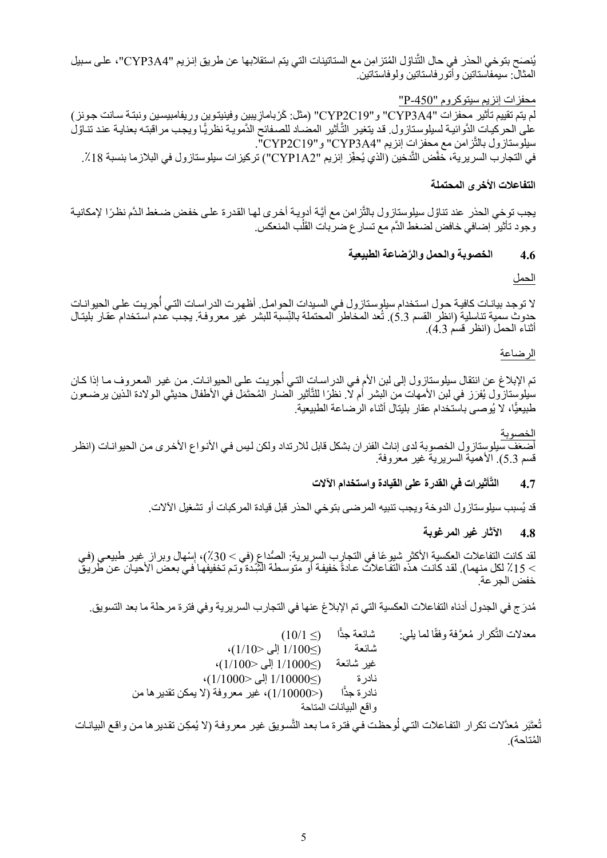َّيُنصَح بتوخي الحذر في حال التّناوُل المُتزامِن مع الستاتينات التي يتم استقلابها عن طريق إنـزيم "CYP3A4"، على سبيل المثال: سيمفاستاتين وأتورفاستاتين ولوفاستاتين.

### محفزات إنزيم سيتوكروم "-450P "

لم يتم تقييم تأثير محفزات "#CYP3A4" و"24P2C19" (مثل: كَرْبامازيبين وفينيتوين وريفامبيسين ونبتـة سـانت جـونز ) على الحركيات الدَّوائية لسيلوستازول. قد يتغير التَّأثير المضـاد للصـفائح الدَّمويـة نظريًّا ويجب مراقبتـه بعنايـة عند تنـاوُل سيلوستازول بالتَّزامن مع محفزات إنزيم "CYP3A4" و"CYP2C19". في التجارب السريرية، خفَّض التَّدخين (الذي يُحفِّز إنزيم "CYP1A2") تركيزات سيلوستازول في البلازما بنسبة 18٪.

#### **التفاعلات الأخرى المحتملة**

يجب توخي الحذر عند تناوُل سيلوستازول بالتَّزامن مع أيَّة أدوٍية أخرى لها القدرة على خفض ضـغط الدَّم نظرًا لإمكانية وجود تأثير ۖ إضـافي خافض لضغط الدَّم مع تسار ع ضربات القَلْب المنعكس.

#### **4.6 َّ الخصوبة والحمل والرضاعة الطبيعية**

الحمل

لا توجد بيانـات كافيـة حـول استخدام سيلوستازول فـي السـيدات الحوامـل. أظهرت الدراسـات التـي أُجريت علـي الحيوانـات حدوث سمية تناسلية (انظر القسم 5.3). تُعد المخاطر المحتملة بالنِّسبة للبشر غير معروفة. يجب عدم استخدام عقار بليتال أثناء الحمل (انظر قسم 4.3).

الرضاعة

تم الإبلاغ عن انتقال سيلوستازول إلى لبن الأم في الدراسات التي أُجريت على الحيوانـات. من غير المعروف مـا إذا كـان َّسيلوستازول يُفرَز في لبن الأمهات من البشر أم لا. نظرًا للتّأثير الضار المُحتَمَل في الأطفال حديثي الولادة الذين يرضعون طبيعيًّا، لا يُوصىي باستخدام عقار بليتال أثناء الرضاعة الطبيعية.

الخصوبة

أضعف سيلوستازول الخصوبة لدى إناث الفئر ان بشكل قابل للارتداد ولكن ليس في الأنواع الأخرى من الحيوانـات (انظر قسم 5.3). الأهمية السريرية غير معروفة.

#### **َّأثيرات في القدرة على القيادة واستخدام الآلات 4.7 الت**

ُسبب سيلوستازول الدوخة ويجب تنبيه المرضى بتوخي الحذر قبل قيادة المركبات أو تشغيل الآلات. قد ي

#### **4.8 الآثار غير المرغوبة**

لقد كانت التفاعلات العكسية الأكثر شيوعًا في التجارب السريرية: الصُداع (في > 30٪)، إسْهال وبر از غير طبيعي (في<br>> 15٪ لكل منهما). لقد كانت هذه التفاعلات عادةً خفيفة أو متوسطة الشِّدة وتم تخفيفها في بعض الأحيان عن طريق خفض الجرعة.

مُدرَج في الجدول أدناه التفاعلات العكسية التي تم الإبلاغ عنها في التجارب السريرية وفي فترة مرحلة ما بعد التسويق.

| $(10/1 \le)$                                | شائعة جدّا            | معدلات النُّكرار مُعرَّفة وفقًا لما يلي: |
|---------------------------------------------|-----------------------|------------------------------------------|
| $(1/10 > 1/100 \leq)$                       | شائعة                 |                                          |
| $(1/100>$ إلى $1/1000\leq$ )                | غير شائعة             |                                          |
| $\cdot (1/1000 > 1/10000 \leq$              | نادر ۃ                |                                          |
| (<1/10000)، غير معروفة (لا يمكن تقدير ها من | نادر ۃ جڈًا           |                                          |
|                                             | واقع البيانات المتاحة |                                          |

تُعتَبَر مُعدَّلات تكرار التفاعلات التي لُوحظت في فترة ما بعد التَّسويق غير معروفة (لا يُمكِن تقدير ها من واقع البيانـات المُتاحة).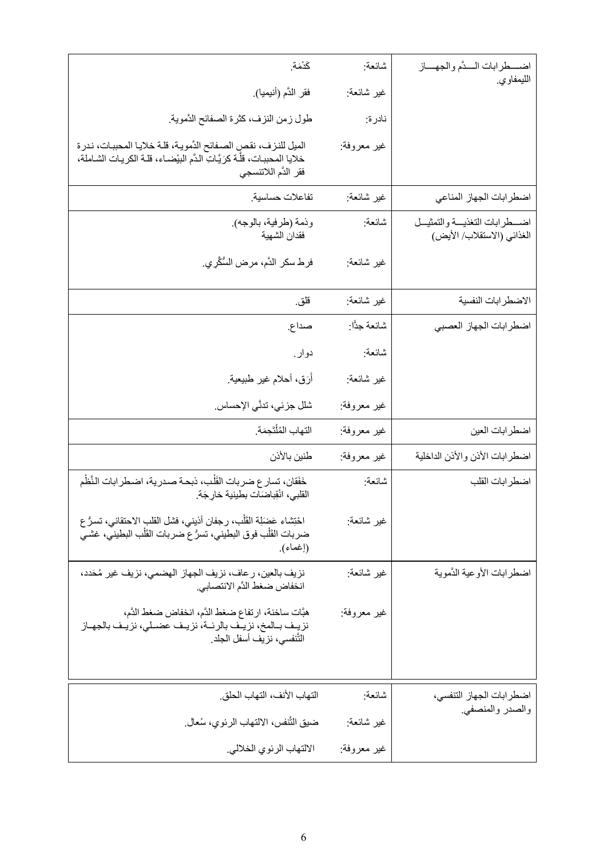| كَدْمَة.                                                                                                                                                                    | شائعة:       | اضـــطرابات الـــدَّم والجهـــاز                                |
|-----------------------------------------------------------------------------------------------------------------------------------------------------------------------------|--------------|-----------------------------------------------------------------|
| فقر الدَّم (أنيميا).                                                                                                                                                        | غير شائعة:   | الليمفاوي.                                                      |
| طول زمن النزف، كثرة الصفائح الدَّموية.                                                                                                                                      | نادرة:       |                                                                 |
| الميل للنزف، نقص الصفائح الدَّمويـة، قلـة خلايـا المحببـات، نـدرة<br>خلايا اِلمحببـات، قلَّـة كرَيَّـاتِ الـدَّم البيْضـاء، قلـة الكريـات الشـاملة،<br>فقر الدَّم اللاتنسجي | غير معروفة:  |                                                                 |
| تفاعلات حساسية.                                                                                                                                                             | غير شائعة:   | اضطرابات الجهاز المناعي                                         |
| وذمة (طرفية، بالوجه).<br>فقدان الشهية                                                                                                                                       | شائعة:       | اضـــطرابات التغذيـــة والتمثيــل<br>الغذائي (الاستقلاب/ الأيض) |
| فرط سكر الدَّم، مرض السُّكَّرِي.                                                                                                                                            | غير شائعة:   |                                                                 |
| قلق.                                                                                                                                                                        | غير شائعة:   | الاضطرابات النفسية                                              |
| صداع.                                                                                                                                                                       | شائعة جدًّا: | اضطرابات الجهاز العصبي                                          |
| دوار.                                                                                                                                                                       | شانعة:       |                                                                 |
| أَرَق، أحلام غير طبيعية <sub>.</sub>                                                                                                                                        | غير شائعة:   |                                                                 |
| شلل جزئي، تدنَّي الإحساس.                                                                                                                                                   | غير معروفة:  |                                                                 |
| التهاب المُلْتَحِمَة.                                                                                                                                                       | غير معروفة:  | اضطرابات العين                                                  |
| طنين بالأذن                                                                                                                                                                 | غير معروفة:  | اضطرابات الأذن والأذن الداخلية                                  |
| خَفَقان، تسار ع ضربات القَلْب، ذبحـة صـدرية، اضـطرابات النَّظْم<br>القلبي، انْقِباضَات بطينية خارِجَة.                                                                      | شائعة:       | اضطرابات القلب                                                  |
| احْتِشاء عَضَلَة القَلْب، رجفان أذيني، فشل القلب الاحتقاني، تسرُّ ع<br>ضربات القَلْب فوق البطيني، تسرُّ ع ضربات القَلْب البطيني، غشي<br>(إغماء).                            | غير شانعة:   |                                                                 |
| نزيف بالعين، رعاف، نزيف الجهاز الهضمي، نزيف غير مُحَدد،<br>انخفاض ضغط الدَّم الانتصابي.                                                                                     | غير شانعة:   | اضطرابات الأوعية الدَّموية                                      |
| هبَّات ساخنة، ارتفاع ضغط الدَّم، انخفاض ضغط الدَّم،<br>نزيف بـالمخ، نزيـف بالرئــة، نزيـف عضـلي، نزيـف بالجهـاز<br>التَّنفسي، نزيف أسفل الجلد.                              | غير معروفة:  |                                                                 |
| التهاب الأنف، التهاب الحلق.                                                                                                                                                 | شائعة:       | اضطرابات الجهاز التنفسي،                                        |
| ضيق التَّنفس، الالتهاب الرئوي، سُعال.                                                                                                                                       | غير شانعة:   | والصدر والمنصفي.                                                |
| الالتهاب الرئوي الخلالي.                                                                                                                                                    | غير معروفة:  |                                                                 |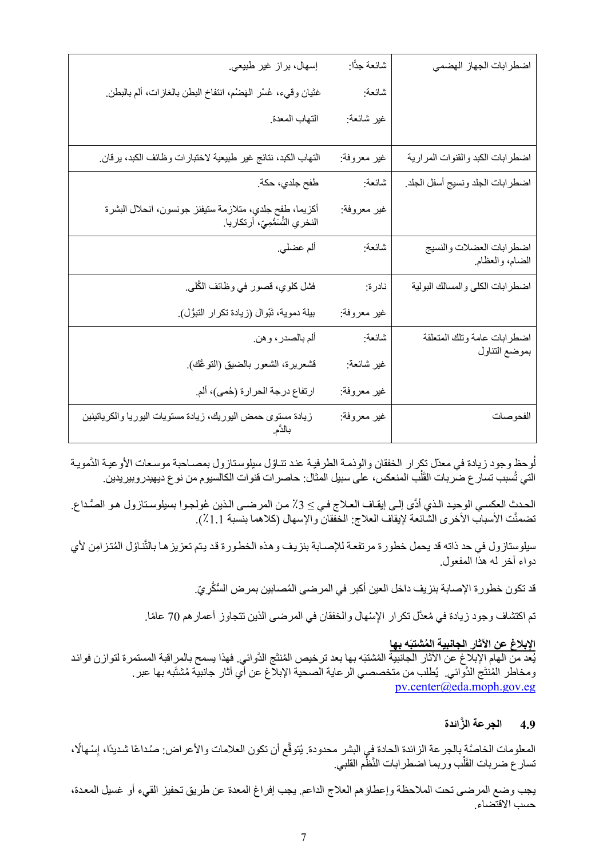| اضطرابات الجهاز الهضمي                      | شائعة جدًّا: | إسهال، براز غير طبيعي.                                                                     |
|---------------------------------------------|--------------|--------------------------------------------------------------------------------------------|
|                                             | شائعة:       | غثيان وقيء، عُسْر المَهضْم، انتفاخ البطن بالغازات، ألم بالبطن <sub>.</sub>                 |
|                                             | غير شائعة:   | التهاب المعدة                                                                              |
| اضطرابات الكبد والقنوات المرارية            | غير معروفة:  | التهاب الكبد، نتائج غير طبيعية لاختبارات وظائف الكبد، يرقان.                               |
| اضطرابات الجلد ونسيج أسفل الجلد             | شائعة:       | طفح جلدي، حكة.                                                                             |
|                                             | غير معروفة:  | أكزيما، طفح جلدي، متلازمة ستيفنز جونسون، انحلال البشرة<br>النخري التَّسَمُّمِيّ، أرتكاريا. |
| اضطرابات العضلات والنسيج<br>الضام، والعظام. | شائعة:       | ألم عضلي.                                                                                  |
| اضطرابات الكلي والمسالك البولية             | نادرة:       | فشل كلوي، قصور في وظائف الكُلي.                                                            |
|                                             | غير معروفة:  | بيلة دموية، تَبْوال (زيادة تكرار التبوُّل).                                                |
| اضطرابات عامة وتلك المتعلقة                 | شائعة:       | ألم بالصدر، وهن.                                                                           |
| بموضع التناول                               | غير شائعة:   | قشعريرة، الشعور بالضيق (النوعُك).                                                          |
|                                             | غير معروفة:  | ارتفاع درجة الحرارة (حُمي)، ألم.                                                           |
| الفحوصات                                    | غير معروفة:  | زيادة مستوى حمض اليوريك، زيادة مستويات اليوريا والكرياتينين<br>بالدّم.                     |

لُوحظ وجود زيادة في معدّل تكرار الخفقان والوذمـة الطرفيـة عند تنـاؤل سيلوستازول بمصـاحبة موسـعات الأوعيـة الدَّمويـة ا<br>ا التي تُسبب تسار ع ضربات القَلْب المنعكس، على سبيل المثال: حاصر ات قنوات الكالسيوم من نو ع ديهيدر وبير يدين. َل

الحدث العكسي الوحيد الذي أدًى إلى إيقاف العلاج في≥ 3٪ من المرضـى الذين عُولجـوا بسيلوسـتازول هـو الصُداع. تضمنَّت الأسباب الأخرى الشائعة لإيقاف العلاج: الخفقان والإسهال (كلاهما بنسبة 1.1٪).

َّسيلوستازول في حد ذاته قد يحمل خطورة مرتفعة للإصـابة بنزيف وهذه الخطورة قد يتم تعزيزها بالتّناؤل المُتزامِن لأي دواء آخر له هذا المفعول.

قد تكون خطورة الإصابة بنزيف داخل العين أكبر في المرضى المُصابين بمرض السُّكَّرِيّ.

تم اكتشاف وجود زيادة في مُعدَّل تكر ار الإِسْهال والخفقان في المرضىي الذين تتجاوز أعمار هم 70 عامًا.

# **َه بها ُ الإبلاغ عن الآثار الجانبية المشتب**

يُعد من الهام الإبلاغ عن الآثار الجانبية المُشتبَه بها بعد ترخيص المُنتَج الذَّوائي. فهذا يسمح بالمراقبة المستمرة لتوازن فوائد ومخاطر المُنتَج الدَّوائي. يُطلب من متخصصي الر عاية الصحية الإبلاغ عن أي آثار جانبية مُشتَبه بها عبر . pv.center@eda.moph.gov.eg

## **4.9 َّ الجرعة الزائدة**

المعلومات الخاصَّة بالجر عة الزائدة الحادة فِي البشر محدودة. يُتوقَّع أن تكون العلامات والأعراض: صُداعًا شديدًا، إِسْهالًا، تسار ع ضربات القَلْب وربما اضطرابات النَّظْم القلبي. َل

يجب وضع المرضىي تحت الملاحظة وإعطاؤهم العلاج الداعم. يجب إفراغ المعدة عن طريق تحفيز القيء أو غسيل المعدة، حسب الاقتضاء.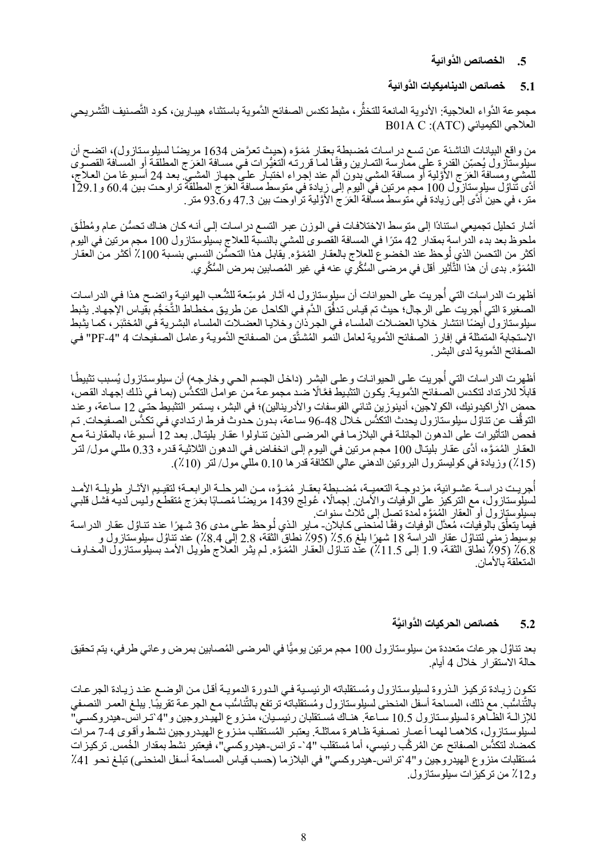#### **.5 َّ الخصائص الدوائية**

#### **5.1 َّ خصائص الديناميكيات الدوائية**

مجموعة الدَّواء العلاجية: الأدوية المانعة للتخثَّر، مثبط تكدس الصفائح الدَّموية باستثناء هيبارين، كود التَّصنيف التَّشريحي B01A C :(ATC) الكيميائي العلاجي

من واقع البيانات الناشئة عن تسع دراسات مُضبطة بعقار مُمَوَّه (حيث تعرَّض 1634 مريضًا لسيلوستازول)، اتضـح ان<br>سيلوستازول يُحسِّن القدرة على ممارسة التمـارين وفقًا لمـا قررتـه التغيُّرات فـي مسـافة العَرَج المطلقة أو المسـاف للمشي ومسافة العَرَج الأوَّلية أو مسافة المشي بدون ألم عند إجراء اختبار عليَّ جهاز المشييّ بعد 24 أسبوعًا من العلاج، أدَّى تَتَاوُل سيلوٍستازول 100 مجم مرتين في اليوم إلى زيادة في متوسط مسافة العَرَج المطلقة تراوحت بين 60.4 و 129.1 متر ، في حين أدَّى إلى زيادة في متوسط مسأفة العَرَج الأوَّلية تراوحت بين 47.3 و93.6 متر .

أشار تحليل تجميعي استنادًا إلى متوسط الاختلافات في الوزن عبر التسع دراسات إلى أنـه كـان هنـاك تحسُّن عـام ومُطلَق ملحوظ بعد بدء الدراسة بمقدار 42 ًمترا في المسافة القصوى للمشي بالنسبة للعلاج بسيلوستازول 100 مجم مرتين في اليوم أكثر من التحسن الذي لوحظ عند الخضوع للعلاج بالعقار المُمَوَّه. يقابل هذا التحسُّن النسبي بنسبة 100٪ أكثر من العقار المُمَوَّه. بدى أن هذا التَّأْثير أقل في مرضىى السُّكَّرِ ي عنه في غير المُصـابين بمرض السُّكَّرِ ي.

ُاظهرت الدراسات التي أجريت على الحيوانات أن سيلوستازول له آثـار مُوسِّعة للشَّعب الهوائيـة وِاتضـح هذا فـي الدراسـات ֺ<u>֓</u> الصغيرة التي أُجريت ۖعلى الرجال؛ حيث تم قياس تدفُّق الدَّم في الكاحل عن طريق مخطـاط التَّحَجُم بقياس الإجهاد. يثبط سيلوستازول أيضًا انتشار خلايا العضـلات الملسـاء فـي الجرذانِ وخلايـا العضـلات الملسـاء البشرية فـي المُختَبَر ، كمـا يثبط الاستجابة المتمثلة في إفارز الصفائح الدَّموية لعامل النمو المُشتَّق من الصفائح الدَّموية وعامل الصفيحات 4 "PF-4" في الصفائح الدَّموية لدى البشر ِ

أظهرت الدراسات التي أُجريت علـى الحيوانـات وعلـى البشر (داخل الجسم الحـي وخارجـه) أن سيلوستازول يُسبب تثبيطًـا قابلًا للارتداد لتكدس الصفائح الدَّموية. يكون التثبيط فعَّالًا ضد مجموعة من عوامل التكدُّس (بما في ذلك إجهاد القص، حمض الأراكيدونيك، الكولاجين، أدينوزين ثنائي الفوسفات والأدرينالين)؛ في البشر ، يستمر التثبيط حتى 12 سـاعة، وعند التوقّف عن تناوُل سيلوستازول يحدث التكدُّس خلال 48-96 سـاعة، بدون حدوث فرط ارتدادي في تكدُّس الصـفيحات. تم فحص التأثيرات على الدهون الجائلة في البلازما في المرضـى الذين تنـاولوا عقار بليتال. بعد 12 أسبوعًا، بالمقارنـة مـع العقار المُمَوَّه، أدَّى عقار بليتال 100 مجم مرتين في اليوم إلى انخفاض في الدهون الثلاثية قدره 0.33 مللي مول/ لتر (٪15) وزيادة في كوليسترول البروتين الدهني عالي الكثافة قدرها 0.10 مللي مول/ لتر (٪10).

ُأُجريت دراسـة عشـوائية، مزدوجـة التعميـة، مُضـبطة بعقـار مُمَـوَّه، مـن المرحلـة الرابعـة؛ لتقيـيم الأثـار طويلـة الأمـد لسيلوستازول، مع التركيز على الوفيات والأمان. إجمالًا، عُولِج 1439 مريَّضًا مُصـابًا بِعَرَج مُتقطَّع ولـيس لديه فشل قلبـي<br>بسيلوستازول أو العقار المُمَوَّه لمدة تصل إلى ثلاث سنوات.<br>فيما يتعلَّق بالوفيات، مُعدَّل الوفيات وف بوسيط زمني لتناوُل عقار الدراسة 18 شهرًا بلغ 5.6٪ (95٪ نطاق الثقة، 2.8 إلى 8.4٪) عند تناوُل سيلوستازول و<br>6.8٪ (95٪ نطاق الثقة، 1.9 إلى 1.5٪) عند تناوُل العقار المُمَوَّه. لم يثر العلاج طويل الأمد بسيلوستازول المخاوف المتعلقة بالأمان.

# **َّة 5.2 َّ خصائص الحركيات الدوائي**

بعد تناؤل جر عات متعددة من سيلوستازول 100 مجم مرتين يوميًا في المرضى المُصابين بمرض و عائي طرفي، يتم تحقيق حالة الاستقرار خلال 4 أيام.

تكون زيادة تركيز الذروة لسيلوستازول ومُستقلباته الرئيسية في الدورة الدمويـة أقل مـن الوضـع عند زيـادة الجرعـات بالتَّناسُّب. مع ذلك، المساحة أسفل المنحنى لسيلوستازول ومُستقلباته ترتفع بالتَّناسُّب مـع الجرعـة تقريبًـا. يبلـغ العمـر النصـفي َّللإزالـة الظـاهرة لسيلوسـتازول 10.5 سـاعة. هنـاك مُسـتقلبان رئيسـيان، منـزوع الهيـدروجين و"4 تـرانس-هيدروكسـي لسيلوستازول، كلاهما لهمـا أعمـار نصـفية ظـاهرة مماثلـة. يعتبـر المُستقلب منـزوع الهيـدروجين نشـط وأقوى 4-7 مـرات كمضاد لتكدُّس الصفائح عن المُركَّب رئيسي، أما مُستقلب "4`- ترانس-هيدروكسي"، فيعتبر نشط بمقدار الخُمس. تركيزات مُستقلبات منزوع الهيدروجين و"4`ترانس-هيدروكسي" في البلازما (حسب قياس المسـاحة أسـفل المنحنـى) تبلـغ نحـو 41٪ و٪12 من تركيزات سيلوستازول.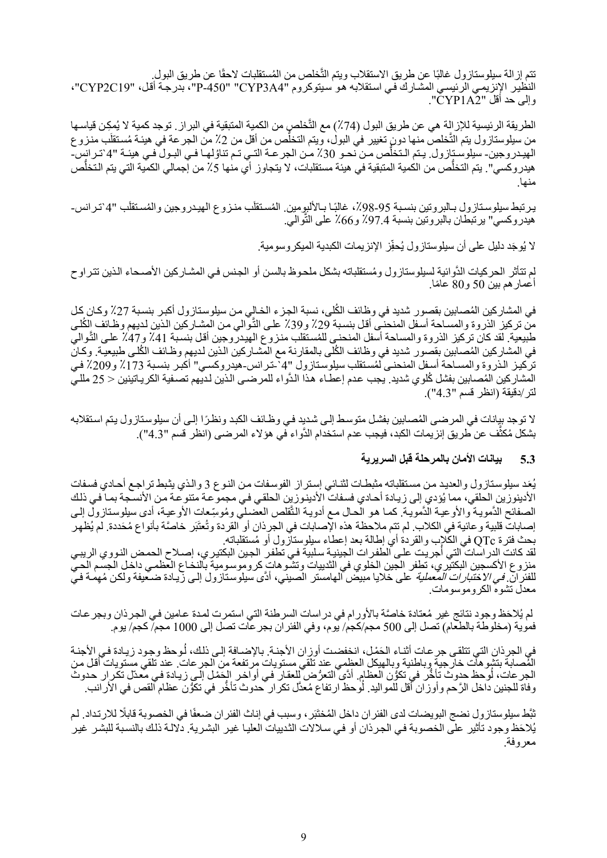نتم إزالة سيلوستازول غالبًا عن طريق الاستقلاب ويتم التَّخلص من المُستقلبات لاحقًا عن طريق البول. َّالنظير الإنزيمي الرئيسي المشارك في استقلابه هو سيتوكروم "CYP3A4" "CYP2C19"، بدرجة أقل، "CYP2C19"، وإلى حد أقل "2A1CYP".

الطريقة الرئيسية للإزالة هي عن طريق البول (74٪) مع التَّخلصِ من الكمية المتبقية في البراز . توجد كمية لا يُمكِن قياسـها من سيلوستازول يتم التَّخلصُ منها دونٍ تغيير فيُ البولْ، ويتم التخلَّص من أقل من 2٪ من الجر عة في هيئـة مُستقلَب منـزوع الهيدروجين- سيلوسـتازول. يـتم الـتخلّص مـن نحـو 30٪ مـن الجرعـة التـي تـم تناوُلهـا فـي البـول فـي هيئـة "4`تـرانس-هيدر وكسي". يتم التخلُّص من الكمية المتبقية في هيئة مستقلبات، لا يتجاوز أي منها 5٪ من إجمالي الكمية التي يتم التخلُّص منها.

يرنبط سيلوسـتازول بـالبروتين بنسـبة 95-98٪، غالبًـا بـالألبومين. المُسـتقلَب منـزوع الـهيـدروجين والمُسـتقلَب "4`تـرانس-هيدروكسي" يرتبطان بالبروتين بنسبة 97.4٪ و66٪ على الثَّوالي.

> لا يُوجَد دليل على أن سيلوستازول يُحفِّز الإنزيمات الكبدية الميكروسومية. .<br>ا

لم تتأثر الحركيات الدُّوائية لسيلوستازول ومُستقلباته بشكل ملحوظ بالسن أو الجنس في المشـاركين الأصـحاء الذين تتراوح أعمار هم بين 50 و80 عامًا.

في المشاركين المُصابين بقصور شديد في وظائف الكُلى، نسبة الجزء الخالي من سيلوستازول أكبر بنسبة 27٪ وكان كل من تركيز الذروة والمسـاحة أسـفل المنحنـّي أقل بنسـبة 29٪ و39٪ علـي التَّوالي من المشـاركين الذين لديهم وظـائف الكُلـي َّطبيعية. لقد كان تركيز الذروة والمساحة أسفل المنحنبي للمُستقلب منزوع المهيدروجين أقل بنسبة 41٪ و47٪ على التّوالي في المشاركين المُصابين بقصور شديد في وظائف الكُلّي بالمقارنة مع المشـاركين الذين لديهم وظـائف الكُلـي طبيعيـة. وكان تركيز الذروة والمساحة أسفل المنحني لُّمستقلب سيلوستازول "4`-ترانس-هيدروكسي" أكبر بنسبة 173٪ و209٪ في المشاركين المُصابين بفشل كُلوي شديد. يجب عدم إعطـاء هذا الدَّواء للمرضـى الذين لديهم تصـفية الكريـاتينين < 25 مللـي لتر/دقيقة (انظر قسم "4.3").

لا توجد بيانات في المرضى المُصابين بفشل متوسط إلى شديد في وظائف الكبد ونظرًا إلى أن سيلوستازول يتم استقلابه بشكل مُكثَّف عن طريق إنزيمات الكبد، فيجب عدم استخدام الدَّواء في هؤلاء المرضـى (انظر قسم "4.3").

#### **5.3 بيانات الأمان بالمرحلة قبل السريرية**

يُعَدِ سيلوستازول والعديد من مستقلباته مثبطات لننائي إستراز الفوسفات من النوع 3 والذي يثبط تراجع أحادي فسفات الأدينوزين الحلقي، مما يُؤدي إلى زيـادة أحـادي فسفات الأدينـوزين الحلقي فـي مجموعـة متنوعـة من الأنسـجة بمـا فـي ذلك الصفائح الدَّمويـة والأوعيـة الدَّمويـة. كمـا هو الحـال مـع أدويـة التَّقلص العضـلـي ومُوسِّعات الأوعيـة، أدى سيلوسـتازول إلـي إصابات قلبية وعائية في الكلاب. لم تتم ملاحظة هذه الإصابات في الجرِذان أو القردة وتُعتَبَر خاصَّة بأنواع مُحَددة. لم يُظهِر بحث فترة QTc ُ في الكلاب والقردة أي إطالة بعد إعطاء سيلوستازول أو مستقلباته.

لقد كانت الدراسات التي أجريت على الطفرات الجينية سلبية في تطفر الجين البكتيري، إصـلاح الحمض النووي الريبـي منزوع الأكسجين البكتيري، تطفر الجين الخلوي في الثدييات وتشو هات كروموسومية بالنخـاع العظمـي داخل الجسم الحيّ للفئر ا*نّ. في الاختبارات المعملية* على خلايا مبيض المهامستر الصيني، أدَّى سيلوستازول إلى زيـادة ضـعيفة ولكن مُهِمـة فـي<br>معدل تشوه الكروموسومات.

لم يُلاحَظ وجود نتائج غير مُعتادة خاصَّة بالأورام في دراسات السرطنة التي استمرت لمدة عـامين فـي الجرذان وبجر عـات فموية (مخلوطة بالطعام) تصل إلى 500 مجم/كجم/ يوم، وفي الفئران بجرعات تصل إلى 1000 مجم/ كجم/ يوم.

في الجرذان التي تتلقى جر عات أثنـاء الحَمْل، انخفضت أوزان الأجنـة. بالإضـافة إلـي ذلك، لُوحظ وجود زيـادة فـي الأجنـة في الجرذان التي تتلقى جر عـات أثنـاء الحَمْـل، انخفضـت أوز ان الأجنـة. بالإضـافة إلـى ذلك، لـوحظ وجـود زيـادة فـي الأجنـة<br>المُصـابة بتشو هات خارجية وبـاطنية وبـالهيكل العظمي عند تلقي مستويات مرتفعة من الجر عات. عند تلقي م ُ

ثبَّط سيلوستازول نضج البويضات لدى الفئر ان داخل المُختَبَر ، وسبب في إناث الفئر ان ضعفًا في الخصوبة قابلًا للارتداد. لم يُلاحَظ وجود تأثير على الخصوبة في الجرذان أو في سلالات الثدييات العليا غير البشرية. دلالـة ذلك بالنسبة للبشر غير معروفة.